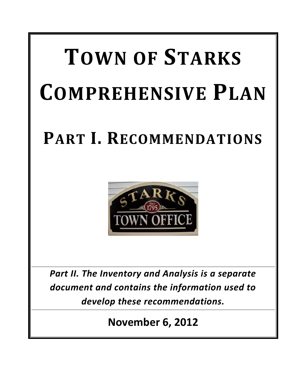# **TOWN OF STARKS COMPREHENSIVE PLAN**

## **PART I. RECOMMENDATIONS**



*Part II. The Inventory and Analysis is a separate document and contains the information used to develop these recommendations.*

**November 6, 2012**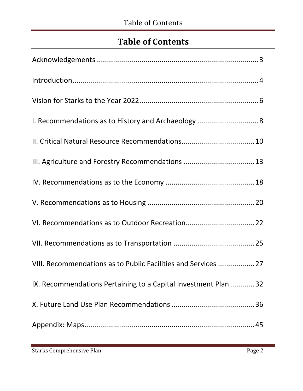### **Table of Contents**

| III. Agriculture and Forestry Recommendations  13               |
|-----------------------------------------------------------------|
|                                                                 |
|                                                                 |
|                                                                 |
|                                                                 |
| VIII. Recommendations as to Public Facilities and Services  27  |
| IX. Recommendations Pertaining to a Capital Investment Plan  32 |
|                                                                 |
|                                                                 |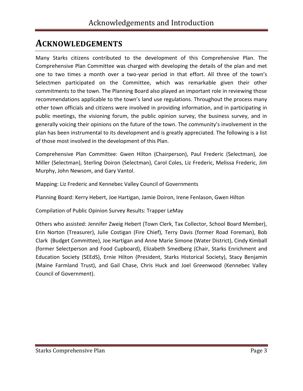### <span id="page-2-0"></span>**ACKNOWLEDGEMENTS**

Many Starks citizens contributed to the development of this Comprehensive Plan. The Comprehensive Plan Committee was charged with developing the details of the plan and met one to two times a month over a two-year period in that effort. All three of the town's Selectmen participated on the Committee, which was remarkable given their other commitments to the town. The Planning Board also played an important role in reviewing those recommendations applicable to the town's land use regulations. Throughout the process many other town officials and citizens were involved in providing information, and in participating in public meetings, the visioning forum, the public opinion survey, the business survey, and in generally voicing their opinions on the future of the town. The community's involvement in the plan has been instrumental to its development and is greatly appreciated. The following is a list of those most involved in the development of this Plan.

Comprehensive Plan Committee: Gwen Hilton (Chairperson), Paul Frederic (Selectman), Joe Miller (Selectman), Sterling Doiron (Selectman), Carol Coles, Liz Frederic, Melissa Frederic, Jim Murphy, John Newsom, and Gary Vantol.

Mapping: Liz Frederic and Kennebec Valley Council of Governments

Planning Board: Kerry Hebert, Joe Hartigan, Jamie Doiron, Irene Fenlason, Gwen Hilton

Compilation of Public Opinion Survey Results: Trapper LeMay

Others who assisted: Jennifer Zweig Hebert (Town Clerk, Tax Collector, School Board Member), Erin Norton (Treasurer), Julie Costigan (Fire Chief), Terry Davis (former Road Foreman), Bob Clark (Budget Committee), Joe Hartigan and Anne Marie Simone (Water District), Cindy Kimball (former Selectperson and Food Cupboard), Elizabeth Smedberg (Chair, Starks Enrichment and Education Society (SEEdS), Ernie Hilton (President, Starks Historical Society), Stacy Benjamin (Maine Farmland Trust), and Gail Chase, Chris Huck and Joel Greenwood (Kennebec Valley Council of Government).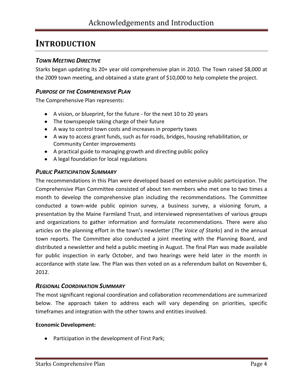### <span id="page-3-0"></span>**INTRODUCTION**

### *TOWN MEETING DIRECTIVE*

Starks began updating its 20+ year old comprehensive plan in 2010. The Town raised \$8,000 at the 2009 town meeting, and obtained a state grant of \$10,000 to help complete the project.

### *PURPOSE OF THE COMPREHENSIVE PLAN*

The Comprehensive Plan represents:

- A vision, or blueprint, for the future for the next 10 to 20 years
- The townspeople taking charge of their future
- A way to control town costs and increases in property taxes
- A way to access grant funds, such as for roads, bridges, housing rehabilitation, or Community Center improvements
- A practical guide to managing growth and directing public policy
- A legal foundation for local regulations

### *PUBLIC PARTICIPATION SUMMARY*

The recommendations in this Plan were developed based on extensive public participation. The Comprehensive Plan Committee consisted of about ten members who met one to two times a month to develop the comprehensive plan including the recommendations. The Committee conducted a town-wide public opinion survey, a business survey, a visioning forum, a presentation by the Maine Farmland Trust, and interviewed representatives of various groups and organizations to gather information and formulate recommendations. There were also articles on the planning effort in the town's newsletter (*The Voice of Starks*) and in the annual town reports. The Committee also conducted a joint meeting with the Planning Board, and distributed a newsletter and held a public meeting in August. The final Plan was made available for public inspection in early October, and two hearings were held later in the month in accordance with state law. The Plan was then voted on as a referendum ballot on November 6, 2012.

#### *REGIONAL COORDINATION SUMMARY*

The most significant regional coordination and collaboration recommendations are summarized below. The approach taken to address each will vary depending on priorities, specific timeframes and integration with the other towns and entities involved.

#### **Economic Development:**

• Participation in the development of First Park;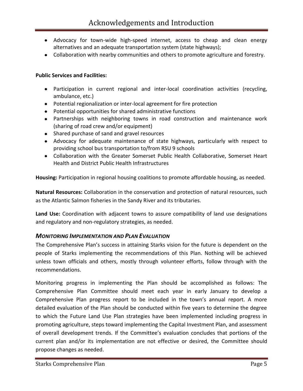- Advocacy for town-wide high-speed internet, access to cheap and clean energy alternatives and an adequate transportation system (state highways);
- Collaboration with nearby communities and others to promote agriculture and forestry.

#### **Public Services and Facilities:**

- Participation in current regional and inter-local coordination activities (recycling, ambulance, etc.)
- Potential regionalization or inter-local agreement for fire protection
- Potential opportunities for shared administrative functions
- Partnerships with neighboring towns in road construction and maintenance work (sharing of road crew and/or equipment)
- Shared purchase of sand and gravel resources
- Advocacy for adequate maintenance of state highways, particularly with respect to providing school bus transportation to/from RSU 9 schools
- Collaboration with the Greater Somerset Public Health Collaborative, Somerset Heart Health and District Public Health Infrastructures

**Housing:** Participation in regional housing coalitions to promote affordable housing, as needed.

**Natural Resources:** Collaboration in the conservation and protection of natural resources, such as the Atlantic Salmon fisheries in the Sandy River and its tributaries.

**Land Use:** Coordination with adjacent towns to assure compatibility of land use designations and regulatory and non-regulatory strategies, as needed.

#### *MONITORING IMPLEMENTATION AND PLAN EVALUATION*

The Comprehensive Plan's success in attaining Starks vision for the future is dependent on the people of Starks implementing the recommendations of this Plan. Nothing will be achieved unless town officials and others, mostly through volunteer efforts, follow through with the recommendations.

Monitoring progress in implementing the Plan should be accomplished as follows: The Comprehensive Plan Committee should meet each year in early January to develop a Comprehensive Plan progress report to be included in the town's annual report. A more detailed evaluation of the Plan should be conducted within five years to determine the degree to which the Future Land Use Plan strategies have been implemented including progress in promoting agriculture, steps toward implementing the Capital Investment Plan, and assessment of overall development trends. If the Committee's evaluation concludes that portions of the current plan and/or its implementation are not effective or desired, the Committee should propose changes as needed.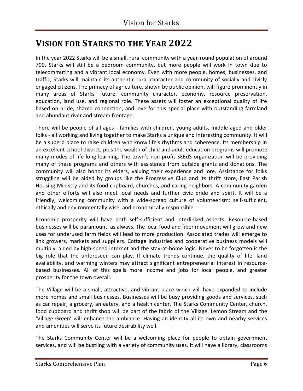### <span id="page-5-0"></span>**VISION FOR STARKS TO THE YEAR 2022**

In the year 2022 Starks will be a small, rural community with a year-round population of around 700. Starks will still be a bedroom community, but more people will work in town due to telecommuting and a vibrant local economy. Even with more people, homes, businesses, and traffic, Starks will maintain its authentic rural character and community of socially and civicly engaged citizens. The primacy of agriculture, shown by public opinion, will figure prominently in many areas of Starks' future: community character, economy, resource preservation, education, land use, and regional role. These assets will foster an exceptional quality of life based on pride, shared connection, and love for this special place with outstanding farmland and abundant river and stream frontage.

There will be people of all ages - families with children, young adults, middle-aged and older folks - all working and living together to make Starks a unique and interesting community. It will be a superb place to raise children who know life's rhythms and coherence. Its membership in an excellent school district, plus the wealth of child and adult education programs will promote many modes of life-long learning. The town's non-profit SEEdS organization will be providing many of these programs and others with assistance from outside grants and donations. The community will also honor its elders, valuing their experience and lore. Assistance for folks struggling will be aided by groups like the Progressive Club and its thrift store, East Parish Housing Ministry and its food cupboard, churches, and caring neighbors. A community garden and other efforts will also meet local needs and further civic pride and spirit. It will be a friendly, welcoming community with a wide-spread culture of volunteerism: self-sufficient, ethically and environmentally wise, and economically responsible.

Economic prosperity will have both self-sufficient and interlinked aspects. Resource-based businesses will be paramount, as always. The local food and fiber movement will grow and new uses for underused farm fields will lead to more production. Associated trades will emerge to link growers, markets and suppliers. Cottage industries and cooperative business models will multiply, aided by high-speed internet and the stay-at-home logic. Never to be forgotten is the big role that the unforeseen can play. If climate trends continue, the quality of life, land availability, and warming winters may attract significant entrepreneurial interest in resourcebased businesses. All of this spells more income and jobs for local people, and greater prosperity for the town overall.

The Village will be a small, attractive, and vibrant place which will have expanded to include more homes and small businesses. Businesses will be busy providing goods and services, such as car repair, a grocery, an eatery, and a health center. The Starks Community Center, church, food cupboard and thrift shop will be part of the fabric of the Village. Lemon Stream and the 'Village Green' will enhance the ambiance. Having an identity all its own and nearby services and amenities will serve its future desirability well.

The Starks Community Center will be a welcoming place for people to obtain government services, and will be bustling with a variety of community uses. It will have a library, classrooms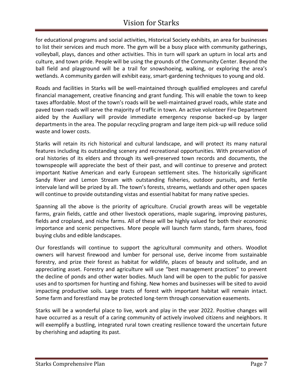### Vision for Starks

for educational programs and social activities, Historical Society exhibits, an area for businesses to list their services and much more. The gym will be a busy place with community gatherings, volleyball, plays, dances and other activities. This in turn will spark an upturn in local arts and culture, and town pride. People will be using the grounds of the Community Center. Beyond the ball field and playground will be a trail for snowshoeing, walking, or exploring the area's wetlands. A community garden will exhibit easy, smart-gardening techniques to young and old.

Roads and facilities in Starks will be well-maintained through qualified employees and careful financial management, creative financing and grant funding. This will enable the town to keep taxes affordable. Most of the town's roads will be well-maintained gravel roads, while state and paved town roads will serve the majority of traffic in town. An active volunteer Fire Department aided by the Auxiliary will provide immediate emergency response backed-up by larger departments in the area. The popular recycling program and large item pick-up will reduce solid waste and lower costs.

Starks will retain its rich historical and cultural landscape, and will protect its many natural features including its outstanding scenery and recreational opportunities. With preservation of oral histories of its elders and through its well-preserved town records and documents, the townspeople will appreciate the best of their past, and will continue to preserve and protect important Native American and early European settlement sites. The historically significant Sandy River and Lemon Stream with outstanding fisheries, outdoor pursuits, and fertile intervale land will be prized by all. The town's forests, streams, wetlands and other open spaces will continue to provide outstanding vistas and essential habitat for many native species.

Spanning all the above is the priority of agriculture. Crucial growth areas will be vegetable farms, grain fields, cattle and other livestock operations, maple sugaring, improving pastures, fields and cropland, and niche farms. All of these will be highly valued for both their economic importance and scenic perspectives. More people will launch farm stands, farm shares, food buying clubs and edible landscapes.

Our forestlands will continue to support the agricultural community and others. Woodlot owners will harvest firewood and lumber for personal use, derive income from sustainable forestry, and prize their forest as habitat for wildlife, places of beauty and solitude, and an appreciating asset. Forestry and agriculture will use "best management practices" to prevent the decline of ponds and other water bodies. Much land will be open to the public for passive uses and to sportsmen for hunting and fishing. New homes and businesses will be sited to avoid impacting productive soils. Large tracts of forest with important habitat will remain intact. Some farm and forestland may be protected long-term through conservation easements.

Starks will be a wonderful place to live, work and play in the year 2022. Positive changes will have occurred as a result of a caring community of actively involved citizens and neighbors. It will exemplify a bustling, integrated rural town creating resilience toward the uncertain future by cherishing and adapting its past.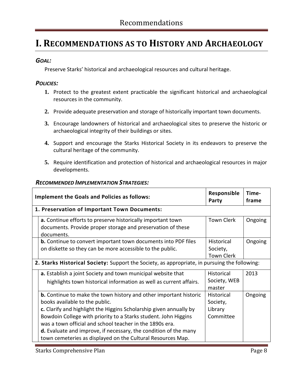### <span id="page-7-0"></span>**I. RECOMMENDATIONS AS TO HISTORY AND ARCHAEOLOGY**

### *GOAL:*

Preserve Starks' historical and archaeological resources and cultural heritage.

### *POLICIES:*

- **1.** Protect to the greatest extent practicable the significant historical and archaeological resources in the community.
- **2.** Provide adequate preservation and storage of historically important town documents.
- **3.** Encourage landowners of historical and archaeological sites to preserve the historic or archaeological integrity of their buildings or sites.
- **4.** Support and encourage the Starks Historical Society in its endeavors to preserve the cultural heritage of the community.
- **5.** Require identification and protection of historical and archaeological resources in major developments.

| <b>RECOMMENDED IMPLEMENTATION STRATEGIES:</b> |  |
|-----------------------------------------------|--|
|                                               |  |

| <b>Implement the Goals and Policies as follows:</b>                                                                                                                                                                                                                                                                                                                                                                                                       | Responsible<br>Party                           | Time-<br>frame |
|-----------------------------------------------------------------------------------------------------------------------------------------------------------------------------------------------------------------------------------------------------------------------------------------------------------------------------------------------------------------------------------------------------------------------------------------------------------|------------------------------------------------|----------------|
| 1. Preservation of Important Town Documents:                                                                                                                                                                                                                                                                                                                                                                                                              |                                                |                |
| a. Continue efforts to preserve historically important town<br>documents. Provide proper storage and preservation of these<br>documents.                                                                                                                                                                                                                                                                                                                  | <b>Town Clerk</b>                              | Ongoing        |
| <b>b.</b> Continue to convert important town documents into PDF files<br>on diskette so they can be more accessible to the public.                                                                                                                                                                                                                                                                                                                        | Historical<br>Society,<br><b>Town Clerk</b>    | Ongoing        |
| 2. Starks Historical Society: Support the Society, as appropriate, in pursuing the following:                                                                                                                                                                                                                                                                                                                                                             |                                                |                |
| a. Establish a joint Society and town municipal website that<br>highlights town historical information as well as current affairs.                                                                                                                                                                                                                                                                                                                        | <b>Historical</b><br>Society, WEB<br>master    | 2013           |
| <b>b.</b> Continue to make the town history and other important historic<br>books available to the public.<br>c. Clarify and highlight the Higgins Scholarship given annually by<br>Bowdoin College with priority to a Starks student. John Higgins<br>was a town official and school teacher in the 1890s era.<br><b>d.</b> Evaluate and improve, if necessary, the condition of the many<br>town cemeteries as displayed on the Cultural Resources Map. | Historical<br>Society,<br>Library<br>Committee | Ongoing        |

Starks Comprehensive Plan **Page 8** and Page 8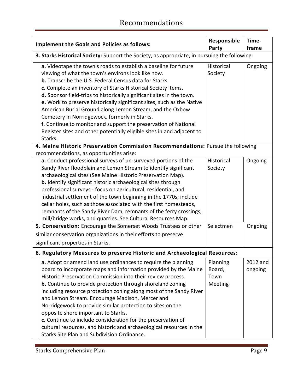| <b>Implement the Goals and Policies as follows:</b>                                                                                                                                                                                                                                                                                                                                                                                                                                                                                                                                                                                                                                                                                                                                                                                              | Responsible<br>Party                                                                          | Time-<br>frame      |  |
|--------------------------------------------------------------------------------------------------------------------------------------------------------------------------------------------------------------------------------------------------------------------------------------------------------------------------------------------------------------------------------------------------------------------------------------------------------------------------------------------------------------------------------------------------------------------------------------------------------------------------------------------------------------------------------------------------------------------------------------------------------------------------------------------------------------------------------------------------|-----------------------------------------------------------------------------------------------|---------------------|--|
|                                                                                                                                                                                                                                                                                                                                                                                                                                                                                                                                                                                                                                                                                                                                                                                                                                                  | 3. Starks Historical Society: Support the Society, as appropriate, in pursuing the following: |                     |  |
| a. Videotape the town's roads to establish a baseline for future<br>viewing of what the town's environs look like now.<br><b>b.</b> Transcribe the U.S. Federal Census data for Starks.<br>c. Complete an inventory of Starks Historical Society items.<br>d. Sponsor field-trips to historically significant sites in the town.<br>e. Work to preserve historically significant sites, such as the Native<br>American Burial Ground along Lemon Stream, and the Oxbow<br>Cemetery in Norridgewock, formerly in Starks.<br>f. Continue to monitor and support the preservation of National<br>Register sites and other potentially eligible sites in and adjacent to<br>Starks.                                                                                                                                                                  | Historical<br>Society                                                                         | Ongoing             |  |
| 4. Maine Historic Preservation Commission Recommendations: Pursue the following                                                                                                                                                                                                                                                                                                                                                                                                                                                                                                                                                                                                                                                                                                                                                                  |                                                                                               |                     |  |
| recommendations, as opportunities arise:<br>a. Conduct professional surveys of un-surveyed portions of the<br>Sandy River floodplain and Lemon Stream to identify significant<br>archaeological sites (See Maine Historic Preservation Map).<br><b>b.</b> Identify significant historic archaeological sites through<br>professional surveys - focus on agricultural, residential, and<br>industrial settlement of the town beginning in the 1770s; include<br>cellar holes, such as those associated with the first homesteads,<br>remnants of the Sandy River Dam, remnants of the ferry crossings,<br>mill/bridge works, and quarries. See Cultural Resources Map.<br>5. Conservation: Encourage the Somerset Woods Trustees or other<br>similar conservation organizations in their efforts to preserve<br>significant properties in Starks. | Historical<br>Society<br>Selectmen                                                            | Ongoing<br>Ongoing  |  |
| 6. Regulatory Measures to preserve Historic and Archaeological Resources:                                                                                                                                                                                                                                                                                                                                                                                                                                                                                                                                                                                                                                                                                                                                                                        |                                                                                               |                     |  |
| a. Adopt or amend land use ordinances to require the planning<br>board to incorporate maps and information provided by the Maine<br>Historic Preservation Commission into their review process.<br><b>b.</b> Continue to provide protection through shoreland zoning<br>including resource protection zoning along most of the Sandy River<br>and Lemon Stream. Encourage Madison, Mercer and<br>Norridgewock to provide similar protection to sites on the<br>opposite shore important to Starks.<br>c. Continue to include consideration for the preservation of<br>cultural resources, and historic and archaeological resources in the<br>Starks Site Plan and Subdivision Ordinance.                                                                                                                                                        | Planning<br>Board,<br>Town<br>Meeting                                                         | 2012 and<br>ongoing |  |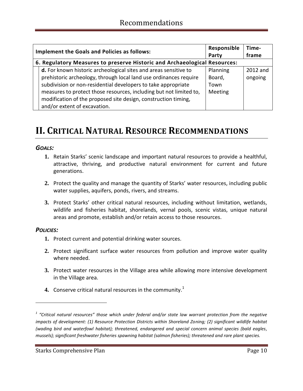| <b>Implement the Goals and Policies as follows:</b> |                                                                           | Responsible | Time-    |
|-----------------------------------------------------|---------------------------------------------------------------------------|-------------|----------|
|                                                     |                                                                           | Party       | frame    |
|                                                     | 6. Regulatory Measures to preserve Historic and Archaeological Resources: |             |          |
|                                                     | d. For known historic archeological sites and areas sensitive to          | Planning    | 2012 and |
|                                                     | prehistoric archeology, through local land use ordinances require         | Board,      | ongoing  |
|                                                     | subdivision or non-residential developers to take appropriate             | Town        |          |
|                                                     | measures to protect those resources, including but not limited to,        | Meeting     |          |
|                                                     | modification of the proposed site design, construction timing,            |             |          |
|                                                     | and/or extent of excavation.                                              |             |          |

### <span id="page-9-0"></span>**II. CRITICAL NATURAL RESOURCE RECOMMENDATIONS**

### *GOALS:*

- **1.** Retain Starks' scenic landscape and important natural resources to provide a healthful, attractive, thriving, and productive natural environment for current and future generations.
- **2.** Protect the quality and manage the quantity of Starks' water resources, including public water supplies, aquifers, ponds, rivers, and streams.
- **3.** Protect Starks' other critical natural resources, including without limitation, wetlands, wildlife and fisheries habitat, shorelands, vernal pools, scenic vistas, unique natural areas and promote, establish and/or retain access to those resources.

### *POLICIES:*

 $\overline{a}$ 

- **1.** Protect current and potential drinking water sources.
- **2.** Protect significant surface water resources from pollution and improve water quality where needed.
- **3.** Protect water resources in the Village area while allowing more intensive development in the Village area.
- **4.** Conserve critical natural resources in the community.<sup>1</sup>

Starks Comprehensive Plan **Page 10** and Page 10

*<sup>1</sup> "Critical natural resources" those which under federal and/or state law warrant protection from the negative impacts of development: (1) Resource Protection Districts within Shoreland Zoning; (2) significant wildlife habitat (wading bird and waterfowl habitat); threatened, endangered and special concern animal species (bald eagles, mussels); significant freshwater fisheries spawning habitat (salmon fisheries); threatened and rare plant species.*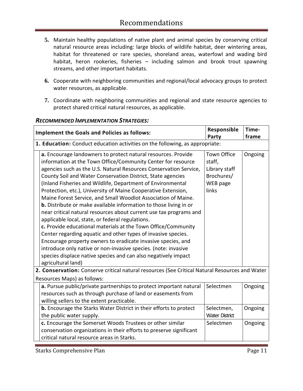- **5.** Maintain healthy populations of native plant and animal species by conserving critical natural resource areas including: large blocks of wildlife habitat, deer wintering areas, habitat for threatened or rare species, shoreland areas, waterfowl and wading bird habitat, heron rookeries, fisheries – including salmon and brook trout spawning streams, and other important habitats.
- **6.** Cooperate with neighboring communities and regional/local advocacy groups to protect water resources, as applicable.
- **7.** Coordinate with neighboring communities and regional and state resource agencies to protect shared critical natural resources, as applicable.

| <b>Implement the Goals and Policies as follows:</b><br>Party                                                                                                                                                                                                                                                                                                                                                                                                                                                                                                                                                                                                                                                                                                                                                                                                                                                                                                                                                                         |                                                                                  | Time-<br>frame |
|--------------------------------------------------------------------------------------------------------------------------------------------------------------------------------------------------------------------------------------------------------------------------------------------------------------------------------------------------------------------------------------------------------------------------------------------------------------------------------------------------------------------------------------------------------------------------------------------------------------------------------------------------------------------------------------------------------------------------------------------------------------------------------------------------------------------------------------------------------------------------------------------------------------------------------------------------------------------------------------------------------------------------------------|----------------------------------------------------------------------------------|----------------|
| 1. Education: Conduct education activities on the following, as appropriate:                                                                                                                                                                                                                                                                                                                                                                                                                                                                                                                                                                                                                                                                                                                                                                                                                                                                                                                                                         |                                                                                  |                |
| a. Encourage landowners to protect natural resources. Provide<br>information at the Town Office/Community Center for resource<br>agencies such as the U.S. Natural Resources Conservation Service,<br>County Soil and Water Conservation District, State agencies<br>(Inland Fisheries and Wildlife, Department of Environmental<br>Protection, etc.), University of Maine Cooperative Extension,<br>Maine Forest Service, and Small Woodlot Association of Maine.<br><b>b.</b> Distribute or make available information to those living in or<br>near critical natural resources about current use tax programs and<br>applicable local, state, or federal regulations.<br>c. Provide educational materials at the Town Office/Community<br>Center regarding aquatic and other types of invasive species.<br>Encourage property owners to eradicate invasive species, and<br>introduce only native or non-invasive species. (note: invasive<br>species displace native species and can also negatively impact<br>agricultural land) | <b>Town Office</b><br>staff,<br>Library staff<br>Brochures/<br>WEB page<br>links | Ongoing        |
| 2. Conservation: Conserve critical natural resources (See Critical Natural Resources and Water                                                                                                                                                                                                                                                                                                                                                                                                                                                                                                                                                                                                                                                                                                                                                                                                                                                                                                                                       |                                                                                  |                |
| Resources Maps) as follows:                                                                                                                                                                                                                                                                                                                                                                                                                                                                                                                                                                                                                                                                                                                                                                                                                                                                                                                                                                                                          |                                                                                  |                |
| a. Pursue public/private partnerships to protect important natural<br>resources such as through purchase of land or easements from<br>willing sellers to the extent practicable.                                                                                                                                                                                                                                                                                                                                                                                                                                                                                                                                                                                                                                                                                                                                                                                                                                                     | Selectmen                                                                        | Ongoing        |
| b. Encourage the Starks Water District in their efforts to protect<br>the public water supply.                                                                                                                                                                                                                                                                                                                                                                                                                                                                                                                                                                                                                                                                                                                                                                                                                                                                                                                                       | Selectmen,<br><b>Water District</b>                                              | Ongoing        |
| c. Encourage the Somerset Woods Trustees or other similar<br>conservation organizations in their efforts to preserve significant<br>critical natural resource areas in Starks.                                                                                                                                                                                                                                                                                                                                                                                                                                                                                                                                                                                                                                                                                                                                                                                                                                                       | Selectmen                                                                        | Ongoing        |

#### *RECOMMENDED IMPLEMENTATION STRATEGIES:*

Starks Comprehensive Plan **Page 11**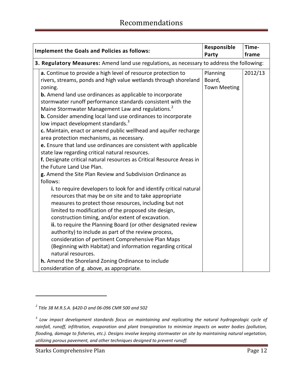| <b>Implement the Goals and Policies as follows:</b>                                                                                                                                                                                                                                                                                                                                                                                                                                                                                                                                                                                                                                                                                                                                                                                                                                                                                                                                                                                                                                                                                                                                                                                                                                                                         | Responsible<br>Party                      | Time-<br>frame |
|-----------------------------------------------------------------------------------------------------------------------------------------------------------------------------------------------------------------------------------------------------------------------------------------------------------------------------------------------------------------------------------------------------------------------------------------------------------------------------------------------------------------------------------------------------------------------------------------------------------------------------------------------------------------------------------------------------------------------------------------------------------------------------------------------------------------------------------------------------------------------------------------------------------------------------------------------------------------------------------------------------------------------------------------------------------------------------------------------------------------------------------------------------------------------------------------------------------------------------------------------------------------------------------------------------------------------------|-------------------------------------------|----------------|
| 3. Regulatory Measures: Amend land use regulations, as necessary to address the following:                                                                                                                                                                                                                                                                                                                                                                                                                                                                                                                                                                                                                                                                                                                                                                                                                                                                                                                                                                                                                                                                                                                                                                                                                                  |                                           |                |
| a. Continue to provide a high level of resource protection to<br>rivers, streams, ponds and high value wetlands through shoreland<br>zoning.<br><b>b.</b> Amend land use ordinances as applicable to incorporate<br>stormwater runoff performance standards consistent with the<br>Maine Stormwater Management Law and regulations. <sup>2</sup><br>b. Consider amending local land use ordinances to incorporate<br>low impact development standards. <sup>3</sup><br>c. Maintain, enact or amend public wellhead and aquifer recharge<br>area protection mechanisms, as necessary.<br>e. Ensure that land use ordinances are consistent with applicable<br>state law regarding critical natural resources.<br>f. Designate critical natural resources as Critical Resource Areas in<br>the Future Land Use Plan.<br>g. Amend the Site Plan Review and Subdivision Ordinance as<br>follows:<br>i. to require developers to look for and identify critical natural<br>resources that may be on site and to take appropriate<br>measures to protect those resources, including but not<br>limited to modification of the proposed site design,<br>construction timing, and/or extent of excavation.<br>ii. to require the Planning Board (or other designated review<br>authority) to include as part of the review process, | Planning<br>Board,<br><b>Town Meeting</b> | 2012/13        |
| consideration of pertinent Comprehensive Plan Maps<br>(Beginning with Habitat) and information regarding critical                                                                                                                                                                                                                                                                                                                                                                                                                                                                                                                                                                                                                                                                                                                                                                                                                                                                                                                                                                                                                                                                                                                                                                                                           |                                           |                |
| natural resources.                                                                                                                                                                                                                                                                                                                                                                                                                                                                                                                                                                                                                                                                                                                                                                                                                                                                                                                                                                                                                                                                                                                                                                                                                                                                                                          |                                           |                |
| h. Amend the Shoreland Zoning Ordinance to include<br>consideration of g. above, as appropriate.                                                                                                                                                                                                                                                                                                                                                                                                                                                                                                                                                                                                                                                                                                                                                                                                                                                                                                                                                                                                                                                                                                                                                                                                                            |                                           |                |

Starks Comprehensive Plan **Page 12** and Page 12

 $\overline{a}$ 

*<sup>2</sup> Title 38 M.R.S.A. §420-D and 06-096 CMR 500 and 502*

*<sup>3</sup> Low impact development standards focus on maintaining and replicating the natural hydrogeologic cycle of rainfall, runoff, infiltration, evaporation and plant transpiration to minimize impacts on water bodies (pollution, flooding, damage to fisheries, etc.). Designs involve keeping stormwater on site by maintaining natural vegetation, utilizing porous pavement, and other techniques designed to prevent runoff.*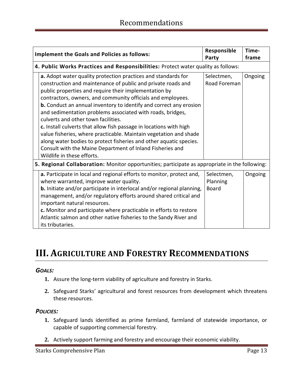| <b>Implement the Goals and Policies as follows:</b>                                                                                                                                                                                                                                                                                                                                                                                                                                                                                                                                                                                                                                                                                                 | Responsible<br>Party                   | Time-<br>frame |
|-----------------------------------------------------------------------------------------------------------------------------------------------------------------------------------------------------------------------------------------------------------------------------------------------------------------------------------------------------------------------------------------------------------------------------------------------------------------------------------------------------------------------------------------------------------------------------------------------------------------------------------------------------------------------------------------------------------------------------------------------------|----------------------------------------|----------------|
| 4. Public Works Practices and Responsibilities: Protect water quality as follows:                                                                                                                                                                                                                                                                                                                                                                                                                                                                                                                                                                                                                                                                   |                                        |                |
| a. Adopt water quality protection practices and standards for<br>construction and maintenance of public and private roads and<br>public properties and require their implementation by<br>contractors, owners, and community officials and employees.<br><b>b.</b> Conduct an annual inventory to identify and correct any erosion<br>and sedimentation problems associated with roads, bridges,<br>culverts and other town facilities.<br>c. Install culverts that allow fish passage in locations with high<br>value fisheries, where practicable. Maintain vegetation and shade<br>along water bodies to protect fisheries and other aquatic species.<br>Consult with the Maine Department of Inland Fisheries and<br>Wildlife in these efforts. | Selectmen,<br>Road Foreman             | Ongoing        |
| 5. Regional Collaboration: Monitor opportunities; participate as appropriate in the following:                                                                                                                                                                                                                                                                                                                                                                                                                                                                                                                                                                                                                                                      |                                        |                |
| a. Participate in local and regional efforts to monitor, protect and,<br>where warranted, improve water quality.<br><b>b.</b> Initiate and/or participate in interlocal and/or regional planning,<br>management, and/or regulatory efforts around shared critical and<br>important natural resources.<br>c. Monitor and participate where practicable in efforts to restore<br>Atlantic salmon and other native fisheries to the Sandy River and<br>its tributaries.                                                                                                                                                                                                                                                                                | Selectmen,<br>Planning<br><b>Board</b> | Ongoing        |

### <span id="page-12-0"></span>**III. AGRICULTURE AND FORESTRY RECOMMENDATIONS**

#### *GOALS:*

- **1.** Assure the long-term viability of agriculture and forestry in Starks.
- **2.** Safeguard Starks' agricultural and forest resources from development which threatens these resources.

#### *POLICIES:*

- **1.** Safeguard lands identified as prime farmland, farmland of statewide importance, or capable of supporting commercial forestry.
- **2.** Actively support farming and forestry and encourage their economic viability.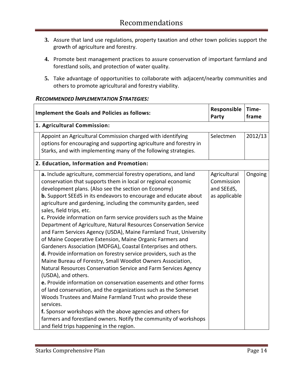- **3.** Assure that land use regulations, property taxation and other town policies support the growth of agriculture and forestry.
- **4.** Promote best management practices to assure conservation of important farmland and forestland soils, and protection of water quality.
- **5.** Take advantage of opportunities to collaborate with adjacent/nearby communities and others to promote agricultural and forestry viability.

| <b>Implement the Goals and Policies as follows:</b>                                                                                                                                                                                                                                                                                                                                                                                                                                                                                                                                                                                                                                                                                                                                                                                                                                                                                                                                                                                                                                                                                                                                                                                                                                                                                               | Responsible<br>Party                                      | Time-<br>frame |
|---------------------------------------------------------------------------------------------------------------------------------------------------------------------------------------------------------------------------------------------------------------------------------------------------------------------------------------------------------------------------------------------------------------------------------------------------------------------------------------------------------------------------------------------------------------------------------------------------------------------------------------------------------------------------------------------------------------------------------------------------------------------------------------------------------------------------------------------------------------------------------------------------------------------------------------------------------------------------------------------------------------------------------------------------------------------------------------------------------------------------------------------------------------------------------------------------------------------------------------------------------------------------------------------------------------------------------------------------|-----------------------------------------------------------|----------------|
| 1. Agricultural Commission:                                                                                                                                                                                                                                                                                                                                                                                                                                                                                                                                                                                                                                                                                                                                                                                                                                                                                                                                                                                                                                                                                                                                                                                                                                                                                                                       |                                                           |                |
| Appoint an Agricultural Commission charged with identifying<br>options for encouraging and supporting agriculture and forestry in<br>Starks, and with implementing many of the following strategies.                                                                                                                                                                                                                                                                                                                                                                                                                                                                                                                                                                                                                                                                                                                                                                                                                                                                                                                                                                                                                                                                                                                                              | Selectmen                                                 | 2012/13        |
| 2. Education, Information and Promotion:                                                                                                                                                                                                                                                                                                                                                                                                                                                                                                                                                                                                                                                                                                                                                                                                                                                                                                                                                                                                                                                                                                                                                                                                                                                                                                          |                                                           |                |
| a. Include agriculture, commercial forestry operations, and land<br>conservation that supports them in local or regional economic<br>development plans. (Also see the section on Economy)<br><b>b.</b> Support SEEdS in its endeavors to encourage and educate about<br>agriculture and gardening, including the community garden, seed<br>sales, field trips, etc.<br>c. Provide information on farm service providers such as the Maine<br>Department of Agriculture, Natural Resources Conservation Service<br>and Farm Services Agency (USDA), Maine Farmland Trust, University<br>of Maine Cooperative Extension, Maine Organic Farmers and<br>Gardeners Association (MOFGA), Coastal Enterprises and others.<br>d. Provide information on forestry service providers, such as the<br>Maine Bureau of Forestry, Small Woodlot Owners Association,<br>Natural Resources Conservation Service and Farm Services Agency<br>(USDA), and others.<br>e. Provide information on conservation easements and other forms<br>of land conservation, and the organizations such as the Somerset<br>Woods Trustees and Maine Farmland Trust who provide these<br>services.<br>f. Sponsor workshops with the above agencies and others for<br>farmers and forestland owners. Notify the community of workshops<br>and field trips happening in the region. | Agricultural<br>Commission<br>and SEEdS,<br>as applicable | Ongoing        |

#### *RECOMMENDED IMPLEMENTATION STRATEGIES:*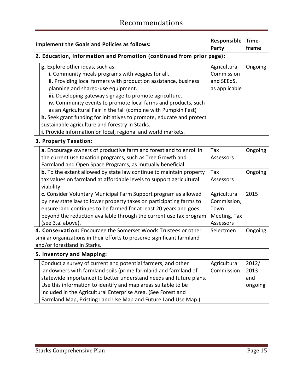|                           | <b>Implement the Goals and Policies as follows:</b>                                                                                                                                                                                                                                                                                                                                                                                                                                                                                                                                         | Responsible<br>Party                                             | Time-<br>frame                  |
|---------------------------|---------------------------------------------------------------------------------------------------------------------------------------------------------------------------------------------------------------------------------------------------------------------------------------------------------------------------------------------------------------------------------------------------------------------------------------------------------------------------------------------------------------------------------------------------------------------------------------------|------------------------------------------------------------------|---------------------------------|
|                           | 2. Education, Information and Promotion (continued from prior page):                                                                                                                                                                                                                                                                                                                                                                                                                                                                                                                        |                                                                  |                                 |
|                           | g. Explore other ideas, such as:<br>i. Community meals programs with veggies for all.<br>ii. Providing local farmers with production assistance, business<br>planning and shared-use equipment.<br>iii. Developing gateway signage to promote agriculture.<br>iv. Community events to promote local farms and products, such<br>as an Agricultural Fair in the fall (combine with Pumpkin Fest)<br>h. Seek grant funding for initiatives to promote, educate and protect<br>sustainable agriculture and forestry in Starks.<br>i. Provide information on local, regional and world markets. | Agricultural<br>Commission<br>and SEEdS,<br>as applicable        | Ongoing                         |
|                           | 3. Property Taxation:                                                                                                                                                                                                                                                                                                                                                                                                                                                                                                                                                                       |                                                                  |                                 |
|                           | a. Encourage owners of productive farm and forestland to enroll in<br>the current use taxation programs, such as Tree Growth and<br>Farmland and Open Space Programs, as mutually beneficial.                                                                                                                                                                                                                                                                                                                                                                                               | Tax<br>Assessors                                                 | Ongoing                         |
|                           | <b>b.</b> To the extent allowed by state law continue to maintain property<br>tax values on farmland at affordable levels to support agricultural<br>viability.                                                                                                                                                                                                                                                                                                                                                                                                                             | Tax<br>Assessors                                                 | Ongoing                         |
|                           | c. Consider Voluntary Municipal Farm Support program as allowed<br>by new state law to lower property taxes on participating farms to<br>ensure land continues to be farmed for at least 20 years and goes<br>beyond the reduction available through the current use tax program<br>(see 3.a. above).                                                                                                                                                                                                                                                                                       | Agricultural<br>Commission,<br>Town<br>Meeting, Tax<br>Assessors | 2015                            |
|                           | 4. Conservation: Encourage the Somerset Woods Trustees or other<br>similar organizations in their efforts to preserve significant farmland<br>and/or forestland in Starks.                                                                                                                                                                                                                                                                                                                                                                                                                  | Selectmen                                                        | Ongoing                         |
| 5. Inventory and Mapping: |                                                                                                                                                                                                                                                                                                                                                                                                                                                                                                                                                                                             |                                                                  |                                 |
|                           | Conduct a survey of current and potential farmers, and other<br>landowners with farmland soils (prime farmland and farmland of<br>statewide importance) to better understand needs and future plans.<br>Use this information to identify and map areas suitable to be<br>included in the Agricultural Enterprise Area. (See Forest and<br>Farmland Map, Existing Land Use Map and Future Land Use Map.)                                                                                                                                                                                     | Agricultural<br>Commission                                       | 2012/<br>2013<br>and<br>ongoing |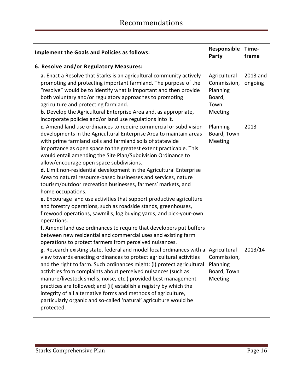| Responsible<br><b>Implement the Goals and Policies as follows:</b><br>Party                                                                                                                                                                                                                                                                                                                                                                                                                                                                                                                                                                                                                                                                                                                                                                                                                                |                                                                                                 | Time-<br>frame              |
|------------------------------------------------------------------------------------------------------------------------------------------------------------------------------------------------------------------------------------------------------------------------------------------------------------------------------------------------------------------------------------------------------------------------------------------------------------------------------------------------------------------------------------------------------------------------------------------------------------------------------------------------------------------------------------------------------------------------------------------------------------------------------------------------------------------------------------------------------------------------------------------------------------|-------------------------------------------------------------------------------------------------|-----------------------------|
| 6. Resolve and/or Regulatory Measures:                                                                                                                                                                                                                                                                                                                                                                                                                                                                                                                                                                                                                                                                                                                                                                                                                                                                     |                                                                                                 |                             |
| a. Enact a Resolve that Starks is an agricultural community actively<br>promoting and protecting important farmland. The purpose of the<br>"resolve" would be to identify what is important and then provide<br>both voluntary and/or regulatory approaches to promoting<br>agriculture and protecting farmland.<br><b>b.</b> Develop the Agricultural Enterprise Area and, as appropriate,<br>incorporate policies and/or land use regulations into it.<br>c. Amend land use ordinances to require commercial or subdivision<br>developments in the Agricultural Enterprise Area to maintain areas                                                                                                                                                                                                                                                                                                        | Agricultural<br>Commission,<br>Planning<br>Board,<br>Town<br>Meeting<br>Planning<br>Board, Town | 2013 and<br>ongoing<br>2013 |
| with prime farmland soils and farmland soils of statewide<br>importance as open space to the greatest extent practicable. This<br>would entail amending the Site Plan/Subdivision Ordinance to<br>allow/encourage open space subdivisions.<br>d. Limit non-residential development in the Agricultural Enterprise<br>Area to natural resource-based businesses and services, nature<br>tourism/outdoor recreation businesses, farmers' markets, and<br>home occupations.<br>e. Encourage land use activities that support productive agriculture<br>and forestry operations, such as roadside stands, greenhouses,<br>firewood operations, sawmills, log buying yards, and pick-your-own<br>operations.<br>f. Amend land use ordinances to require that developers put buffers<br>between new residential and commercial uses and existing farm<br>operations to protect farmers from perceived nuisances. | Meeting                                                                                         |                             |
| g. Research existing state, federal and model local ordinances with a<br>view towards enacting ordinances to protect agricultural activities<br>and the right to farm. Such ordinances might: (i) protect agricultural<br>activities from complaints about perceived nuisances (such as<br>manure/livestock smells, noise, etc.) provided best management<br>practices are followed; and (ii) establish a registry by which the<br>integrity of all alternative forms and methods of agriculture,<br>particularly organic and so-called 'natural' agriculture would be<br>protected.                                                                                                                                                                                                                                                                                                                       | Agricultural<br>Commission,<br>Planning<br>Board, Town<br>Meeting                               | 2013/14                     |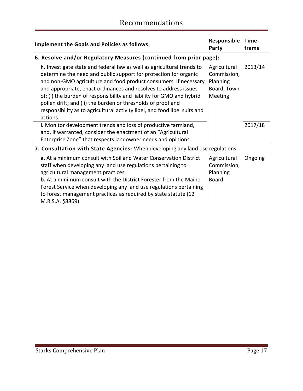| <b>Implement the Goals and Policies as follows:</b>                                                                                                                                                                                                                                                                                                                                                                                                                                                                   | Responsible<br>Party                                                     | Time-<br>frame |
|-----------------------------------------------------------------------------------------------------------------------------------------------------------------------------------------------------------------------------------------------------------------------------------------------------------------------------------------------------------------------------------------------------------------------------------------------------------------------------------------------------------------------|--------------------------------------------------------------------------|----------------|
| 6. Resolve and/or Regulatory Measures (continued from prior page):                                                                                                                                                                                                                                                                                                                                                                                                                                                    |                                                                          |                |
| h. Investigate state and federal law as well as agricultural trends to<br>determine the need and public support for protection for organic<br>and non-GMO agriculture and food product consumers. If necessary<br>and appropriate, enact ordinances and resolves to address issues<br>of: (i) the burden of responsibility and liability for GMO and hybrid<br>pollen drift; and (ii) the burden or thresholds of proof and<br>responsibility as to agricultural activity libel, and food libel suits and<br>actions. | Agricultural<br>Commission,<br>Planning<br>Board, Town<br><b>Meeting</b> | 2013/14        |
| i. Monitor development trends and loss of productive farmland,<br>and, if warranted, consider the enactment of an "Agricultural<br>Enterprise Zone" that respects landowner needs and opinions.                                                                                                                                                                                                                                                                                                                       |                                                                          | 2017/18        |
| 7. Consultation with State Agencies: When developing any land use regulations:                                                                                                                                                                                                                                                                                                                                                                                                                                        |                                                                          |                |
| a. At a minimum consult with Soil and Water Conservation District<br>staff when developing any land use regulations pertaining to<br>agricultural management practices.<br><b>b.</b> At a minimum consult with the District Forester from the Maine<br>Forest Service when developing any land use regulations pertaining<br>to forest management practices as required by state statute (12)<br>M.R.S.A. §8869).                                                                                                     | Agricultural<br>Commission,<br>Planning<br><b>Board</b>                  | Ongoing        |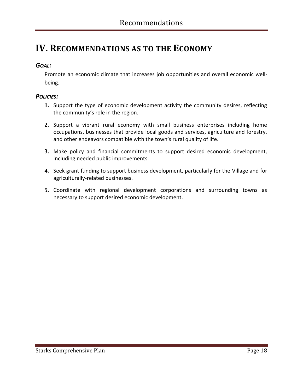### <span id="page-17-0"></span>**IV. RECOMMENDATIONS AS TO THE ECONOMY**

### *GOAL:*

Promote an economic climate that increases job opportunities and overall economic wellbeing.

#### *POLICIES:*

- **1.** Support the type of economic development activity the community desires, reflecting the community's role in the region.
- **2.** Support a vibrant rural economy with small business enterprises including home occupations, businesses that provide local goods and services, agriculture and forestry, and other endeavors compatible with the town's rural quality of life.
- **3.** Make policy and financial commitments to support desired economic development, including needed public improvements.
- **4.** Seek grant funding to support business development, particularly for the Village and for agriculturally-related businesses.
- **5.** Coordinate with regional development corporations and surrounding towns as necessary to support desired economic development.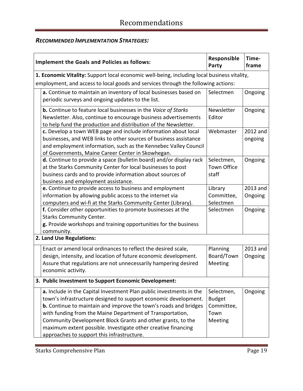### *RECOMMENDED IMPLEMENTATION STRATEGIES:*

| <b>Implement the Goals and Policies as follows:</b>                                                                                                                                                                                                                                                                                                                                                                                                          | Responsible<br>Party                                         | Time-<br>frame      |
|--------------------------------------------------------------------------------------------------------------------------------------------------------------------------------------------------------------------------------------------------------------------------------------------------------------------------------------------------------------------------------------------------------------------------------------------------------------|--------------------------------------------------------------|---------------------|
| 1. Economic Vitality: Support local economic well-being, including local business vitality,                                                                                                                                                                                                                                                                                                                                                                  |                                                              |                     |
| employment, and access to local goods and services through the following actions:                                                                                                                                                                                                                                                                                                                                                                            |                                                              |                     |
| a. Continue to maintain an inventory of local businesses based on<br>periodic surveys and ongoing updates to the list.                                                                                                                                                                                                                                                                                                                                       | Selectmen                                                    | Ongoing             |
| <b>b.</b> Continue to feature local businesses in the Voice of Starks<br>Newsletter. Also, continue to encourage business advertisements<br>to help fund the production and distribution of the Newsletter.                                                                                                                                                                                                                                                  | Newsletter<br>Editor                                         | Ongoing             |
| c. Develop a town WEB page and include information about local<br>businesses, and WEB links to other sources of business assistance<br>and employment information, such as the Kennebec Valley Council<br>of Governments, Maine Career Center in Skowhegan.                                                                                                                                                                                                  | Webmaster                                                    | 2012 and<br>ongoing |
| d. Continue to provide a space (bulletin board) and/or display rack<br>at the Starks Community Center for local businesses to post<br>business cards and to provide information about sources of<br>business and employment assistance.                                                                                                                                                                                                                      | Selectmen,<br><b>Town Office</b><br>staff                    | Ongoing             |
| e. Continue to provide access to business and employment<br>information by allowing public access to the internet via<br>computers and wi-fi at the Starks Community Center (Library).                                                                                                                                                                                                                                                                       | Library<br>Committee,<br>Selectmen                           | 2013 and<br>Ongoing |
| f. Consider other opportunities to promote businesses at the<br><b>Starks Community Center.</b><br>g. Provide workshops and training opportunities for the business<br>community.                                                                                                                                                                                                                                                                            | Selectmen                                                    | Ongoing             |
| 2. Land Use Regulations:                                                                                                                                                                                                                                                                                                                                                                                                                                     |                                                              |                     |
| Enact or amend local ordinances to reflect the desired scale,<br>design, intensity, and location of future economic development.<br>Assure that regulations are not unnecessarily hampering desired<br>economic activity.                                                                                                                                                                                                                                    | Planning<br>Board/Town<br>Meeting                            | 2013 and<br>Ongoing |
| 3. Public Investment to Support Economic Development:                                                                                                                                                                                                                                                                                                                                                                                                        |                                                              |                     |
| a. Include in the Capital Investment Plan public investments in the<br>town's infrastructure designed to support economic development.<br><b>b.</b> Continue to maintain and improve the town's roads and bridges<br>with funding from the Maine Department of Transportation,<br>Community Development Block Grants and other grants, to the<br>maximum extent possible. Investigate other creative financing<br>approaches to support this infrastructure. | Selectmen,<br><b>Budget</b><br>Committee,<br>Town<br>Meeting | Ongoing             |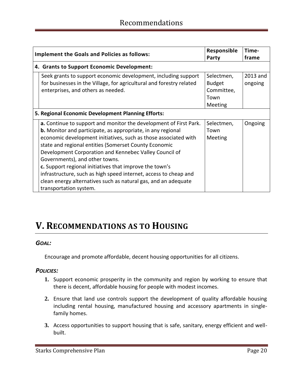| <b>Implement the Goals and Policies as follows:</b> |                                                                                                                                                                                                                                                                                                                                                                                                                                                                                                                                                                                            | Responsible<br>Party                                                | Time-<br>frame      |
|-----------------------------------------------------|--------------------------------------------------------------------------------------------------------------------------------------------------------------------------------------------------------------------------------------------------------------------------------------------------------------------------------------------------------------------------------------------------------------------------------------------------------------------------------------------------------------------------------------------------------------------------------------------|---------------------------------------------------------------------|---------------------|
|                                                     | 4. Grants to Support Economic Development:                                                                                                                                                                                                                                                                                                                                                                                                                                                                                                                                                 |                                                                     |                     |
|                                                     | Seek grants to support economic development, including support<br>for businesses in the Village, for agricultural and forestry related<br>enterprises, and others as needed.                                                                                                                                                                                                                                                                                                                                                                                                               | Selectmen,<br><b>Budget</b><br>Committee,<br>Town<br><b>Meeting</b> | 2013 and<br>ongoing |
|                                                     | 5. Regional Economic Development Planning Efforts:                                                                                                                                                                                                                                                                                                                                                                                                                                                                                                                                         |                                                                     |                     |
|                                                     | a. Continue to support and monitor the development of First Park.<br><b>b.</b> Monitor and participate, as appropriate, in any regional<br>economic development initiatives, such as those associated with<br>state and regional entities (Somerset County Economic<br>Development Corporation and Kennebec Valley Council of<br>Governments), and other towns.<br>c. Support regional initiatives that improve the town's<br>infrastructure, such as high speed internet, access to cheap and<br>clean energy alternatives such as natural gas, and an adequate<br>transportation system. | Selectmen,<br>Town<br><b>Meeting</b>                                | Ongoing             |

### <span id="page-19-0"></span>**V. RECOMMENDATIONS AS TO HOUSING**

#### *GOAL:*

Encourage and promote affordable, decent housing opportunities for all citizens.

### *POLICIES:*

- **1.** Support economic prosperity in the community and region by working to ensure that there is decent, affordable housing for people with modest incomes.
- **2.** Ensure that land use controls support the development of quality affordable housing including rental housing, manufactured housing and accessory apartments in singlefamily homes.
- **3.** Access opportunities to support housing that is safe, sanitary, energy efficient and wellbuilt.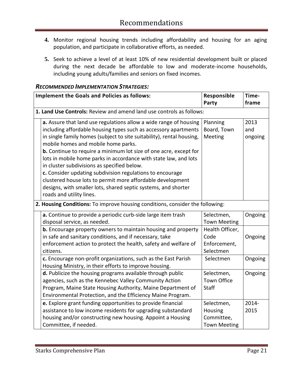- **4.** Monitor regional housing trends including affordability and housing for an aging population, and participate in collaborative efforts, as needed.
- **5.** Seek to achieve a level of at least 10% of new residential development built or placed during the next decade be affordable to low and moderate-income households, including young adults/families and seniors on fixed incomes.

|                                                                               | <b>Implement the Goals and Policies as follows:</b>                                                                                                                                                                                                                                                                                                                                                                                                                                                                                                                                                                                                                          | Responsible<br>Party                                       | Time-<br>frame         |
|-------------------------------------------------------------------------------|------------------------------------------------------------------------------------------------------------------------------------------------------------------------------------------------------------------------------------------------------------------------------------------------------------------------------------------------------------------------------------------------------------------------------------------------------------------------------------------------------------------------------------------------------------------------------------------------------------------------------------------------------------------------------|------------------------------------------------------------|------------------------|
|                                                                               | 1. Land Use Controls: Review and amend land use controls as follows:                                                                                                                                                                                                                                                                                                                                                                                                                                                                                                                                                                                                         |                                                            |                        |
|                                                                               | a. Assure that land use regulations allow a wide range of housing<br>including affordable housing types such as accessory apartments<br>in single family homes (subject to site suitability), rental housing,<br>mobile homes and mobile home parks.<br><b>b.</b> Continue to require a minimum lot size of one acre, except for<br>lots in mobile home parks in accordance with state law, and lots<br>in cluster subdivisions as specified below.<br>c. Consider updating subdivision regulations to encourage<br>clustered house lots to permit more affordable development<br>designs, with smaller lots, shared septic systems, and shorter<br>roads and utility lines. | Planning<br>Board, Town<br>Meeting                         | 2013<br>and<br>ongoing |
| 2. Housing Conditions: To improve housing conditions, consider the following: |                                                                                                                                                                                                                                                                                                                                                                                                                                                                                                                                                                                                                                                                              |                                                            |                        |
|                                                                               | a. Continue to provide a periodic curb-side large item trash<br>disposal service, as needed.                                                                                                                                                                                                                                                                                                                                                                                                                                                                                                                                                                                 | Selectmen,<br><b>Town Meeting</b>                          | Ongoing                |
|                                                                               | <b>b.</b> Encourage property owners to maintain housing and property<br>in safe and sanitary conditions, and if necessary, take<br>enforcement action to protect the health, safety and welfare of<br>citizens.                                                                                                                                                                                                                                                                                                                                                                                                                                                              | Health Officer,<br>Code<br>Enforcement,<br>Selectmen       | Ongoing                |
|                                                                               | c. Encourage non-profit organizations, such as the East Parish<br>Housing Ministry, in their efforts to improve housing.                                                                                                                                                                                                                                                                                                                                                                                                                                                                                                                                                     | Selectmen                                                  | Ongoing                |
|                                                                               | d. Publicize the housing programs available through public<br>agencies, such as the Kennebec Valley Community Action<br>Program, Maine State Housing Authority, Maine Department of<br>Environmental Protection, and the Efficiency Maine Program.                                                                                                                                                                                                                                                                                                                                                                                                                           | Selectmen,<br><b>Town Office</b><br><b>Staff</b>           | Ongoing                |
|                                                                               | e. Explore grant funding opportunities to provide financial<br>assistance to low income residents for upgrading substandard<br>housing and/or constructing new housing. Appoint a Housing<br>Committee, if needed.                                                                                                                                                                                                                                                                                                                                                                                                                                                           | Selectmen,<br>Housing<br>Committee,<br><b>Town Meeting</b> | 2014-<br>2015          |

#### *RECOMMENDED IMPLEMENTATION STRATEGIES:*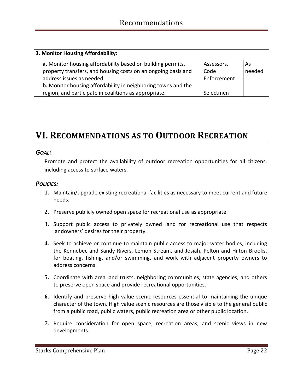| 3. Monitor Housing Affordability:                                                                                                                                                                                                 |                                   |              |  |  |
|-----------------------------------------------------------------------------------------------------------------------------------------------------------------------------------------------------------------------------------|-----------------------------------|--------------|--|--|
| a. Monitor housing affordability based on building permits,<br>property transfers, and housing costs on an ongoing basis and<br>address issues as needed.<br><b>b.</b> Monitor housing affordability in neighboring towns and the | Assessors,<br>Code<br>Enforcement | As<br>needed |  |  |
| region, and participate in coalitions as appropriate.                                                                                                                                                                             | Selectmen                         |              |  |  |

### <span id="page-21-0"></span>**VI. RECOMMENDATIONS AS TO OUTDOOR RECREATION**

#### *GOAL:*

Promote and protect the availability of outdoor recreation opportunities for all citizens, including access to surface waters.

### *POLICIES:*

- **1.** Maintain/upgrade existing recreational facilities as necessary to meet current and future needs.
- **2.** Preserve publicly owned open space for recreational use as appropriate.
- **3.** Support public access to privately owned land for recreational use that respects landowners' desires for their property.
- **4.** Seek to achieve or continue to maintain public access to major water bodies, including the Kennebec and Sandy Rivers, Lemon Stream, and Josiah, Pelton and Hilton Brooks, for boating, fishing, and/or swimming, and work with adjacent property owners to address concerns.
- **5.** Coordinate with area land trusts, neighboring communities, state agencies, and others to preserve open space and provide recreational opportunities.
- **6.** Identify and preserve high value scenic resources essential to maintaining the unique character of the town. High value scenic resources are those visible to the general public from a public road, public waters, public recreation area or other public location.
- **7.** Require consideration for open space, recreation areas, and scenic views in new developments.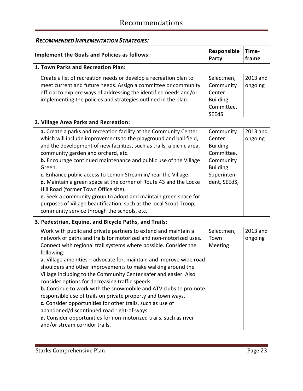| <b>Implement the Goals and Policies as follows:</b>                                                                                                                                                                                                                                                                                                                                                                                                                                                                                                                                                                                                                                                                                                                                                                                              | Responsible<br>Party                                                                                                | Time-<br>frame      |
|--------------------------------------------------------------------------------------------------------------------------------------------------------------------------------------------------------------------------------------------------------------------------------------------------------------------------------------------------------------------------------------------------------------------------------------------------------------------------------------------------------------------------------------------------------------------------------------------------------------------------------------------------------------------------------------------------------------------------------------------------------------------------------------------------------------------------------------------------|---------------------------------------------------------------------------------------------------------------------|---------------------|
| 1. Town Parks and Recreation Plan:                                                                                                                                                                                                                                                                                                                                                                                                                                                                                                                                                                                                                                                                                                                                                                                                               |                                                                                                                     |                     |
| Create a list of recreation needs or develop a recreation plan to<br>meet current and future needs. Assign a committee or community<br>official to explore ways of addressing the identified needs and/or<br>implementing the policies and strategies outlined in the plan.                                                                                                                                                                                                                                                                                                                                                                                                                                                                                                                                                                      | Selectmen,<br>Community<br>Center<br><b>Building</b><br>Committee,<br><b>SEEdS</b>                                  | 2013 and<br>ongoing |
| 2. Village Area Parks and Recreation:                                                                                                                                                                                                                                                                                                                                                                                                                                                                                                                                                                                                                                                                                                                                                                                                            |                                                                                                                     |                     |
| a. Create a parks and recreation facility at the Community Center<br>which will include improvements to the playground and ball field,<br>and the development of new facilities, such as trails, a picnic area,<br>community garden and orchard, etc.<br>b. Encourage continued maintenance and public use of the Village<br>Green.<br>c. Enhance public access to Lemon Stream in/near the Village.<br>d. Maintain a green space at the corner of Route 43 and the Locke<br>Hill Road (former Town Office site).<br>e. Seek a community group to adopt and maintain green space for<br>purposes of Village beautification, such as the local Scout Troop,<br>community service through the schools, etc.                                                                                                                                        | Community<br>Center<br><b>Building</b><br>Committee,<br>Community<br><b>Building</b><br>Superinten-<br>dent, SEEdS, | 2013 and<br>ongoing |
| 3. Pedestrian, Equine, and Bicycle Paths, and Trails:                                                                                                                                                                                                                                                                                                                                                                                                                                                                                                                                                                                                                                                                                                                                                                                            |                                                                                                                     |                     |
| Work with public and private partners to extend and maintain a<br>network of paths and trails for motorized and non-motorized uses.<br>Connect with regional trail systems where possible. Consider the<br>following:<br>a. Village amenities - advocate for, maintain and improve wide road<br>shoulders and other improvements to make walking around the<br>Village including to the Community Center safer and easier. Also<br>consider options for decreasing traffic speeds.<br><b>b.</b> Continue to work with the snowmobile and ATV clubs to promote<br>responsible use of trails on private property and town ways.<br>c. Consider opportunities for other trails, such as use of<br>abandoned/discontinued road right-of-ways.<br>d. Consider opportunities for non-motorized trails, such as river<br>and/or stream corridor trails. | Selectmen,<br>Town<br>Meeting                                                                                       | 2013 and<br>ongoing |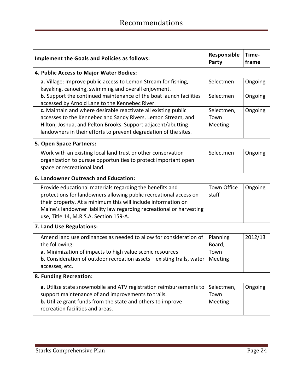| <b>Implement the Goals and Policies as follows:</b>                                                                                                                                                                                                                                                              | Responsible<br>Party                  | Time-<br>frame |  |  |
|------------------------------------------------------------------------------------------------------------------------------------------------------------------------------------------------------------------------------------------------------------------------------------------------------------------|---------------------------------------|----------------|--|--|
| 4. Public Access to Major Water Bodies:                                                                                                                                                                                                                                                                          |                                       |                |  |  |
| a. Village: Improve public access to Lemon Stream for fishing,<br>kayaking, canoeing, swimming and overall enjoyment.                                                                                                                                                                                            | Selectmen                             | Ongoing        |  |  |
| b. Support the continued maintenance of the boat launch facilities<br>accessed by Arnold Lane to the Kennebec River.                                                                                                                                                                                             | Selectmen                             | Ongoing        |  |  |
| c. Maintain and where desirable reactivate all existing public<br>accesses to the Kennebec and Sandy Rivers, Lemon Stream, and<br>Hilton, Joshua, and Pelton Brooks. Support adjacent/abutting<br>landowners in their efforts to prevent degradation of the sites.                                               | Selectmen,<br>Town<br>Meeting         | Ongoing        |  |  |
| 5. Open Space Partners:                                                                                                                                                                                                                                                                                          |                                       |                |  |  |
| Work with an existing local land trust or other conservation<br>organization to pursue opportunities to protect important open<br>space or recreational land.                                                                                                                                                    | Selectmen                             | Ongoing        |  |  |
| 6. Landowner Outreach and Education:                                                                                                                                                                                                                                                                             |                                       |                |  |  |
| Provide educational materials regarding the benefits and<br>protections for landowners allowing public recreational access on<br>their property. At a minimum this will include information on<br>Maine's landowner liability law regarding recreational or harvesting<br>use, Title 14, M.R.S.A. Section 159-A. | <b>Town Office</b><br>staff           | Ongoing        |  |  |
| 7. Land Use Regulations:                                                                                                                                                                                                                                                                                         |                                       |                |  |  |
| Amend land use ordinances as needed to allow for consideration of<br>the following:<br>a. Minimization of impacts to high value scenic resources<br><b>b.</b> Consideration of outdoor recreation assets $-$ existing trails, water<br>accesses, etc.                                                            | Planning<br>Board,<br>Town<br>Meeting | 2012/13        |  |  |
| 8. Funding Recreation:                                                                                                                                                                                                                                                                                           |                                       |                |  |  |
| a. Utilize state snowmobile and ATV registration reimbursements to<br>support maintenance of and improvements to trails.<br>b. Utilize grant funds from the state and others to improve<br>recreation facilities and areas.                                                                                      | Selectmen,<br>Town<br>Meeting         | Ongoing        |  |  |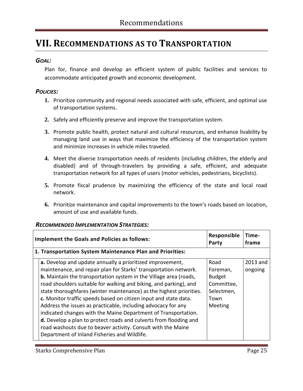### <span id="page-24-0"></span>**VII. RECOMMENDATIONS AS TO TRANSPORTATION**

### *GOAL:*

Plan for, finance and develop an efficient system of public facilities and services to accommodate anticipated growth and economic development.

### *POLICIES:*

- **1.** Prioritize community and regional needs associated with safe, efficient, and optimal use of transportation systems.
- **2.** Safely and efficiently preserve and improve the transportation system.
- **3.** Promote public health, protect natural and cultural resources, and enhance livability by managing land use in ways that maximize the efficiency of the transportation system and minimize increases in vehicle miles traveled.
- **4.** Meet the diverse transportation needs of residents (including children, the elderly and disabled) and of through-travelers by providing a safe, efficient, and adequate transportation network for all types of users (motor vehicles, pedestrians, bicyclists).
- **5.** Promote fiscal prudence by maximizing the efficiency of the state and local road network.
- **6.** Prioritize maintenance and capital improvements to the town's roads based on location, amount of use and available funds.

#### *RECOMMENDED IMPLEMENTATION STRATEGIES:*

| <b>Implement the Goals and Policies as follows:</b>                                                                                                                                                                                                                                                                                                                                                                                                                                                                                                                                                                                                                                                                                                      | Responsible<br>Party                                                             | Time-<br>frame      |
|----------------------------------------------------------------------------------------------------------------------------------------------------------------------------------------------------------------------------------------------------------------------------------------------------------------------------------------------------------------------------------------------------------------------------------------------------------------------------------------------------------------------------------------------------------------------------------------------------------------------------------------------------------------------------------------------------------------------------------------------------------|----------------------------------------------------------------------------------|---------------------|
| 1. Transportation System Maintenance Plan and Priorities:                                                                                                                                                                                                                                                                                                                                                                                                                                                                                                                                                                                                                                                                                                |                                                                                  |                     |
| a. Develop and update annually a prioritized improvement,<br>maintenance, and repair plan for Starks' transportation network.<br><b>b.</b> Maintain the transportation system in the Village area (roads,<br>road shoulders suitable for walking and biking, and parking), and<br>state thoroughfares (winter maintenance) as the highest priorities.<br>c. Monitor traffic speeds based on citizen input and state data.<br>Address the issues as practicable, including advocacy for any<br>indicated changes with the Maine Department of Transportation.<br><b>d.</b> Develop a plan to protect roads and culverts from flooding and<br>road washouts due to beaver activity. Consult with the Maine<br>Department of Inland Fisheries and Wildlife. | Road<br>Foreman,<br><b>Budget</b><br>Committee,<br>Selectmen,<br>Town<br>Meeting | 2013 and<br>ongoing |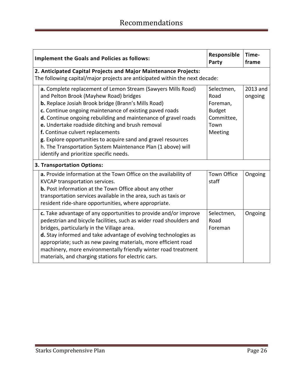| <b>Implement the Goals and Policies as follows:</b>                                                                                                                                                                                                                                                                                                                                                                                                                                                                                                                   | Responsible<br>Party                                                             | Time-<br>frame      |
|-----------------------------------------------------------------------------------------------------------------------------------------------------------------------------------------------------------------------------------------------------------------------------------------------------------------------------------------------------------------------------------------------------------------------------------------------------------------------------------------------------------------------------------------------------------------------|----------------------------------------------------------------------------------|---------------------|
| 2. Anticipated Capital Projects and Major Maintenance Projects:<br>The following capital/major projects are anticipated within the next decade:                                                                                                                                                                                                                                                                                                                                                                                                                       |                                                                                  |                     |
| a. Complete replacement of Lemon Stream (Sawyers Mills Road)<br>and Pelton Brook (Mayhew Road) bridges<br><b>b.</b> Replace Josiah Brook bridge (Brann's Mills Road)<br>c. Continue ongoing maintenance of existing paved roads<br>d. Continue ongoing rebuilding and maintenance of gravel roads<br>e. Undertake roadside ditching and brush removal<br>f. Continue culvert replacements<br>g. Explore opportunities to acquire sand and gravel resources<br>h. The Transportation System Maintenance Plan (1 above) will<br>identify and prioritize specific needs. | Selectmen,<br>Road<br>Foreman,<br><b>Budget</b><br>Committee,<br>Town<br>Meeting | 2013 and<br>ongoing |
| 3. Transportation Options:                                                                                                                                                                                                                                                                                                                                                                                                                                                                                                                                            |                                                                                  |                     |
| a. Provide information at the Town Office on the availability of<br>KVCAP transportation services.<br><b>b.</b> Post information at the Town Office about any other<br>transportation services available in the area, such as taxis or<br>resident ride-share opportunities, where appropriate.                                                                                                                                                                                                                                                                       | <b>Town Office</b><br>staff                                                      | Ongoing             |
| c. Take advantage of any opportunities to provide and/or improve<br>pedestrian and bicycle facilities, such as wider road shoulders and<br>bridges, particularly in the Village area.<br>d. Stay informed and take advantage of evolving technologies as<br>appropriate; such as new paving materials, more efficient road<br>machinery, more environmentally friendly winter road treatment<br>materials, and charging stations for electric cars.                                                                                                                   | Selectmen,<br>Road<br>Foreman                                                    | Ongoing             |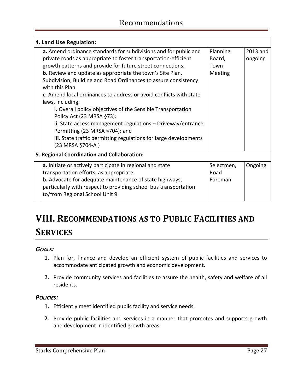| 4. Land Use Regulation:                                                                                                                                                                                                                                                                                                                                                                                                                                                                                                                                                                                                                                                                                                                                  |                                       |                     |  |  |
|----------------------------------------------------------------------------------------------------------------------------------------------------------------------------------------------------------------------------------------------------------------------------------------------------------------------------------------------------------------------------------------------------------------------------------------------------------------------------------------------------------------------------------------------------------------------------------------------------------------------------------------------------------------------------------------------------------------------------------------------------------|---------------------------------------|---------------------|--|--|
| a. Amend ordinance standards for subdivisions and for public and<br>private roads as appropriate to foster transportation-efficient<br>growth patterns and provide for future street connections.<br><b>b.</b> Review and update as appropriate the town's Site Plan,<br>Subdivision, Building and Road Ordinances to assure consistency<br>with this Plan.<br>c. Amend local ordinances to address or avoid conflicts with state<br>laws, including:<br>i. Overall policy objectives of the Sensible Transportation<br>Policy Act (23 MRSA §73);<br>$\mathbf{ii}$ . State access management regulations $-$ Driveway/entrance<br>Permitting (23 MRSA §704); and<br>iii. State traffic permitting regulations for large developments<br>(23 MRSA §704-A) | Planning<br>Board,<br>Town<br>Meeting | 2013 and<br>ongoing |  |  |
| 5. Regional Coordination and Collaboration:                                                                                                                                                                                                                                                                                                                                                                                                                                                                                                                                                                                                                                                                                                              |                                       |                     |  |  |
| a. Initiate or actively participate in regional and state<br>transportation efforts, as appropriate.<br><b>b.</b> Advocate for adequate maintenance of state highways,<br>particularly with respect to providing school bus transportation<br>to/from Regional School Unit 9.                                                                                                                                                                                                                                                                                                                                                                                                                                                                            | Selectmen,<br>Road<br>Foreman         | Ongoing             |  |  |

### <span id="page-26-0"></span>**VIII. RECOMMENDATIONS AS TO PUBLIC FACILITIES AND SERVICES**

### *GOALS:*

- **1.** Plan for, finance and develop an efficient system of public facilities and services to accommodate anticipated growth and economic development.
- **2.** Provide community services and facilities to assure the health, safety and welfare of all residents.

### *POLICIES:*

- **1.** Efficiently meet identified public facility and service needs.
- **2.** Provide public facilities and services in a manner that promotes and supports growth and development in identified growth areas.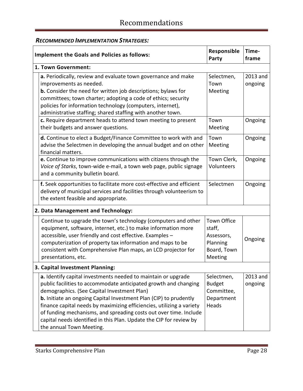### *RECOMMENDED IMPLEMENTATION STRATEGIES:*

| <b>Implement the Goals and Policies as follows:</b>                                                                                                                                                                                                                                                                                                                                                                                                                                                           | Responsible<br>Party                                                             | Time-<br>frame      |
|---------------------------------------------------------------------------------------------------------------------------------------------------------------------------------------------------------------------------------------------------------------------------------------------------------------------------------------------------------------------------------------------------------------------------------------------------------------------------------------------------------------|----------------------------------------------------------------------------------|---------------------|
| 1. Town Government:                                                                                                                                                                                                                                                                                                                                                                                                                                                                                           |                                                                                  |                     |
| a. Periodically, review and evaluate town governance and make<br>improvements as needed.<br><b>b.</b> Consider the need for written job descriptions; bylaws for<br>committees; town charter; adopting a code of ethics; security<br>policies for information technology (computers, internet),<br>administrative staffing; shared staffing with another town.                                                                                                                                                | Selectmen,<br>Town<br>Meeting                                                    | 2013 and<br>ongoing |
| c. Require department heads to attend town meeting to present<br>their budgets and answer questions.                                                                                                                                                                                                                                                                                                                                                                                                          | Town<br>Meeting                                                                  | Ongoing             |
| d. Continue to elect a Budget/Finance Committee to work with and<br>advise the Selectmen in developing the annual budget and on other<br>financial matters.                                                                                                                                                                                                                                                                                                                                                   | Town<br>Meeting                                                                  | Ongoing             |
| e. Continue to improve communications with citizens through the<br>Voice of Starks, town-wide e-mail, a town web page, public signage<br>and a community bulletin board.                                                                                                                                                                                                                                                                                                                                      | Town Clerk,<br>Volunteers                                                        | Ongoing             |
| f. Seek opportunities to facilitate more cost-effective and efficient<br>delivery of municipal services and facilities through volunteerism to<br>the extent feasible and appropriate.                                                                                                                                                                                                                                                                                                                        | Selectmen                                                                        | Ongoing             |
| 2. Data Management and Technology:                                                                                                                                                                                                                                                                                                                                                                                                                                                                            |                                                                                  |                     |
| Continue to upgrade the town's technology (computers and other<br>equipment, software, internet, etc.) to make information more<br>accessible, user friendly and cost effective. Examples -<br>computerization of property tax information and maps to be<br>consistent with Comprehensive Plan maps, an LCD projector for<br>presentations, etc.                                                                                                                                                             | <b>Town Office</b><br>staff,<br>Assessors,<br>Planning<br>Board, Town<br>Meeting | Ongoing             |
| 3. Capital Investment Planning:                                                                                                                                                                                                                                                                                                                                                                                                                                                                               |                                                                                  |                     |
| a. Identify capital investments needed to maintain or upgrade<br>public facilities to accommodate anticipated growth and changing<br>demographics. (See Capital Investment Plan)<br><b>b.</b> Initiate an ongoing Capital Investment Plan (CIP) to prudently<br>finance capital needs by maximizing efficiencies, utilizing a variety<br>of funding mechanisms, and spreading costs out over time. Include<br>capital needs identified in this Plan. Update the CIP for review by<br>the annual Town Meeting. | Selectmen,<br><b>Budget</b><br>Committee,<br>Department<br>Heads                 | 2013 and<br>ongoing |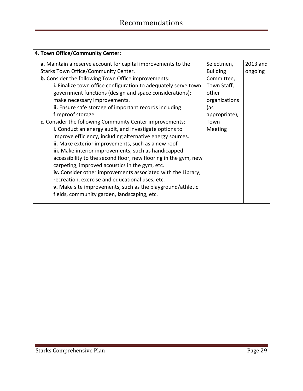| 4. Town Office/Community Center:                                  |                 |          |  |
|-------------------------------------------------------------------|-----------------|----------|--|
| a. Maintain a reserve account for capital improvements to the     | Selectmen,      | 2013 and |  |
| <b>Starks Town Office/Community Center.</b>                       | <b>Building</b> | ongoing  |  |
| <b>b.</b> Consider the following Town Office improvements:        | Committee,      |          |  |
| i. Finalize town office configuration to adequately serve town    | Town Staff,     |          |  |
| government functions (design and space considerations);           | other           |          |  |
| make necessary improvements.                                      | organizations   |          |  |
| ii. Ensure safe storage of important records including            | (as             |          |  |
| fireproof storage                                                 | appropriate),   |          |  |
| c. Consider the following Community Center improvements:          | Town            |          |  |
| i. Conduct an energy audit, and investigate options to            | Meeting         |          |  |
| improve efficiency, including alternative energy sources.         |                 |          |  |
| ii. Make exterior improvements, such as a new roof                |                 |          |  |
| iii. Make interior improvements, such as handicapped              |                 |          |  |
| accessibility to the second floor, new flooring in the gym, new   |                 |          |  |
| carpeting, improved acoustics in the gym, etc.                    |                 |          |  |
| iv. Consider other improvements associated with the Library,      |                 |          |  |
| recreation, exercise and educational uses, etc.                   |                 |          |  |
| <b>v.</b> Make site improvements, such as the playground/athletic |                 |          |  |
| fields, community garden, landscaping, etc.                       |                 |          |  |
|                                                                   |                 |          |  |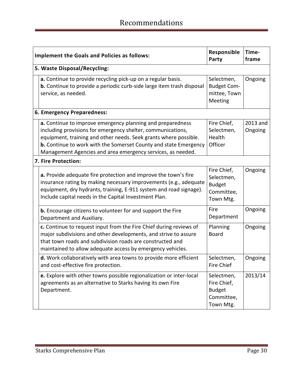| <b>Implement the Goals and Policies as follows:</b>                                                                                                                                                                                                                                                                                     | Responsible<br>Party                                                  | Time-<br>frame      |  |  |
|-----------------------------------------------------------------------------------------------------------------------------------------------------------------------------------------------------------------------------------------------------------------------------------------------------------------------------------------|-----------------------------------------------------------------------|---------------------|--|--|
| 5. Waste Disposal/Recycling:                                                                                                                                                                                                                                                                                                            |                                                                       |                     |  |  |
| a. Continue to provide recycling pick-up on a regular basis.<br><b>b.</b> Continue to provide a periodic curb-side large item trash disposal<br>service, as needed.                                                                                                                                                                     | Selectmen,<br><b>Budget Com-</b><br>mittee, Town<br>Meeting           | Ongoing             |  |  |
| 6. Emergency Preparedness:                                                                                                                                                                                                                                                                                                              |                                                                       |                     |  |  |
| a. Continue to improve emergency planning and preparedness<br>including provisions for emergency shelter, communications,<br>equipment, training and other needs. Seek grants where possible.<br><b>b.</b> Continue to work with the Somerset County and state Emergency<br>Management Agencies and area emergency services, as needed. | Fire Chief,<br>Selectmen,<br>Health<br>Officer                        | 2013 and<br>Ongoing |  |  |
| 7. Fire Protection:                                                                                                                                                                                                                                                                                                                     |                                                                       |                     |  |  |
| <b>a.</b> Provide adequate fire protection and improve the town's fire<br>insurance rating by making necessary improvements (e.g., adequate<br>equipment, dry hydrants, training, E-911 system and road signage).<br>Include capital needs in the Capital Investment Plan.                                                              | Fire Chief,<br>Selectmen,<br><b>Budget</b><br>Committee,<br>Town Mtg. | Ongoing             |  |  |
| <b>b.</b> Encourage citizens to volunteer for and support the Fire<br>Department and Auxiliary.                                                                                                                                                                                                                                         | Fire<br>Department                                                    | Ongoing             |  |  |
| c. Continue to request input from the Fire Chief during reviews of<br>major subdivisions and other developments, and strive to assure<br>that town roads and subdivision roads are constructed and<br>maintained to allow adequate access by emergency vehicles.                                                                        | Planning<br><b>Board</b>                                              | Ongoing             |  |  |
| d. Work collaboratively with area towns to provide more efficient<br>and cost-effective fire protection.                                                                                                                                                                                                                                | Selectmen,<br><b>Fire Chief</b>                                       | Ongoing             |  |  |
| e. Explore with other towns possible regionalization or inter-local<br>agreements as an alternative to Starks having its own Fire<br>Department.                                                                                                                                                                                        | Selectmen,<br>Fire Chief,<br><b>Budget</b><br>Committee,<br>Town Mtg. | 2013/14             |  |  |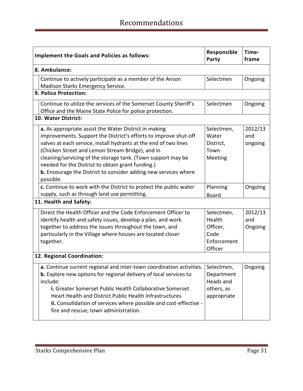|                        | <b>Implement the Goals and Policies as follows:</b>                                                                                                                                                                                                                                                                                                                                                                                                    | Responsible<br>Party                                               | Time-<br>frame            |  |  |
|------------------------|--------------------------------------------------------------------------------------------------------------------------------------------------------------------------------------------------------------------------------------------------------------------------------------------------------------------------------------------------------------------------------------------------------------------------------------------------------|--------------------------------------------------------------------|---------------------------|--|--|
|                        | 8. Ambulance:                                                                                                                                                                                                                                                                                                                                                                                                                                          |                                                                    |                           |  |  |
|                        | Continue to actively participate as a member of the Anson<br>Madison Starks Emergency Service.                                                                                                                                                                                                                                                                                                                                                         | Selectmen                                                          | Ongoing                   |  |  |
|                        | 9. Police Protection:                                                                                                                                                                                                                                                                                                                                                                                                                                  |                                                                    |                           |  |  |
|                        | Continue to utilize the services of the Somerset County Sheriff's<br>Office and the Maine State Police for police protection.                                                                                                                                                                                                                                                                                                                          | Selectmen                                                          | Ongoing                   |  |  |
|                        | <b>10. Water District:</b>                                                                                                                                                                                                                                                                                                                                                                                                                             |                                                                    |                           |  |  |
|                        | a. As appropriate assist the Water District in making<br>improvements. Support the District's efforts to improve shut-off<br>valves at each service, install hydrants at the end of two lines<br>(Chicken Street and Lemon Stream Bridge), and in<br>cleaning/servicing of the storage tank. (Town support may be<br>needed for the District to obtain grant funding.)<br>b. Encourage the District to consider adding new services where<br>possible. | Selectmen,<br>Water<br>District,<br>Town<br>Meeting                | 2012/13<br>and<br>ongoing |  |  |
|                        | c. Continue to work with the District to protect the public water<br>supply, such as through land use permitting.                                                                                                                                                                                                                                                                                                                                      | Planning<br><b>Board</b>                                           | Ongoing                   |  |  |
| 11. Health and Safety: |                                                                                                                                                                                                                                                                                                                                                                                                                                                        |                                                                    |                           |  |  |
|                        | Direct the Health Officer and the Code Enforcement Officer to<br>identify health and safety issues, develop a plan, and work<br>together to address the issues throughout the town, and<br>particularly in the Village where houses are located closer<br>together.                                                                                                                                                                                    | Selectmen,<br>Health<br>Officer,<br>Code<br>Enforcement<br>Officer | 2012/13<br>and<br>Ongoing |  |  |
|                        | 12. Regional Coordination:                                                                                                                                                                                                                                                                                                                                                                                                                             |                                                                    |                           |  |  |
|                        | a. Continue current regional and inter-town coordination activities.<br><b>b.</b> Explore new options for regional delivery of local services to<br>include:<br>i. Greater Somerset Public Health Collaborative Somerset<br>Heart Health and District Public Health Infrastructures<br>ii. Consolidation of services where possible and cost-effective -<br>fire and rescue; town administration.                                                      | Selectmen,<br>Department<br>Heads and<br>others, as<br>appropriate | Ongoing                   |  |  |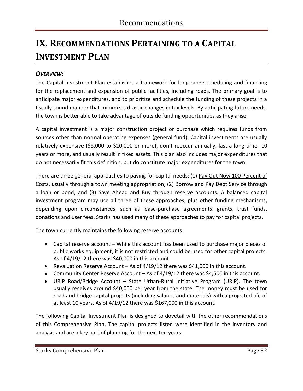### <span id="page-31-0"></span>**IX. RECOMMENDATIONS PERTAINING TO A CAPITAL INVESTMENT PLAN**

### *OVERVIEW:*

The Capital Investment Plan establishes a framework for long-range scheduling and financing for the replacement and expansion of public facilities, including roads. The primary goal is to anticipate major expenditures, and to prioritize and schedule the funding of these projects in a fiscally sound manner that minimizes drastic changes in tax levels. By anticipating future needs, the town is better able to take advantage of outside funding opportunities as they arise.

A capital investment is a major construction project or purchase which requires funds from sources other than normal operating expenses (general fund). Capital investments are usually relatively expensive (\$8,000 to \$10,000 or more), don't reoccur annually, last a long time- 10 years or more, and usually result in fixed assets. This plan also includes major expenditures that do not necessarily fit this definition, but do constitute major expenditures for the town.

There are three general approaches to paying for capital needs: (1) Pay Out Now 100 Percent of Costs, usually through a town meeting appropriation; (2) Borrow and Pay Debt Service through a loan or bond; and (3) Save Ahead and Buy through reserve accounts. A balanced capital investment program may use all three of these approaches, plus other funding mechanisms, depending upon circumstances, such as lease-purchase agreements, grants, trust funds, donations and user fees. Starks has used many of these approaches to pay for capital projects.

The town currently maintains the following reserve accounts:

- Capital reserve account While this account has been used to purchase major pieces of public works equipment, it is not restricted and could be used for other capital projects. As of 4/19/12 there was \$40,000 in this account.
- Revaluation Reserve Account As of 4/19/12 there was \$41,000 in this account.
- Community Center Reserve Account As of 4/19/12 there was \$4,500 in this account.
- URIP Road/Bridge Account State Urban-Rural Initiative Program (URIP). The town usually receives around \$40,000 per year from the state. The money must be used for road and bridge capital projects (including salaries and materials) with a projected life of at least 10 years. As of 4/19/12 there was \$167,000 in this account.

The following Capital Investment Plan is designed to dovetail with the other recommendations of this Comprehensive Plan. The capital projects listed were identified in the inventory and analysis and are a key part of planning for the next ten years.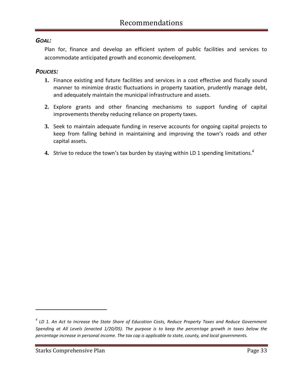### *GOAL:*

Plan for, finance and develop an efficient system of public facilities and services to accommodate anticipated growth and economic development.

#### *POLICIES:*

- **1.** Finance existing and future facilities and services in a cost effective and fiscally sound manner to minimize drastic fluctuations in property taxation, prudently manage debt, and adequately maintain the municipal infrastructure and assets.
- **2.** Explore grants and other financing mechanisms to support funding of capital improvements thereby reducing reliance on property taxes.
- **3.** Seek to maintain adequate funding in reserve accounts for ongoing capital projects to keep from falling behind in maintaining and improving the town's roads and other capital assets.
- **4.** Strive to reduce the town's tax burden by staying within LD 1 spending limitations.<sup>4</sup>

 $\overline{a}$ 

*<sup>4</sup> LD 1. An Act to Increase the State Share of Education Costs, Reduce Property Taxes and Reduce Government Spending at All Levels (enacted 1/20/05). The purpose is to keep the percentage growth in taxes below the percentage increase in personal income. The tax cap is applicable to state, county, and local governments.*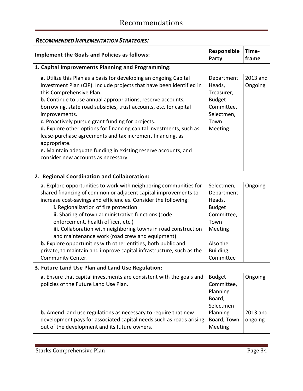### *RECOMMENDED IMPLEMENTATION STRATEGIES:*

| <b>Implement the Goals and Policies as follows:</b> |                                                                                                                                                                                                                                                                                                                                                                                                                                                                                                                                                                                                                                                     | Responsible<br>Party                                                                                                             | Time-<br>frame      |  |  |
|-----------------------------------------------------|-----------------------------------------------------------------------------------------------------------------------------------------------------------------------------------------------------------------------------------------------------------------------------------------------------------------------------------------------------------------------------------------------------------------------------------------------------------------------------------------------------------------------------------------------------------------------------------------------------------------------------------------------------|----------------------------------------------------------------------------------------------------------------------------------|---------------------|--|--|
|                                                     | 1. Capital Improvements Planning and Programming:                                                                                                                                                                                                                                                                                                                                                                                                                                                                                                                                                                                                   |                                                                                                                                  |                     |  |  |
|                                                     | a. Utilize this Plan as a basis for developing an ongoing Capital<br>Investment Plan (CIP). Include projects that have been identified in<br>this Comprehensive Plan.<br><b>b.</b> Continue to use annual appropriations, reserve accounts,<br>borrowing, state road subsidies, trust accounts, etc. for capital<br>improvements.<br>c. Proactively pursue grant funding for projects.<br>d. Explore other options for financing capital investments, such as<br>lease-purchase agreements and tax increment financing, as<br>appropriate.<br>e. Maintain adequate funding in existing reserve accounts, and<br>consider new accounts as necessary. | Department<br>Heads,<br>Treasurer,<br><b>Budget</b><br>Committee,<br>Selectmen,<br>Town<br>Meeting                               | 2013 and<br>Ongoing |  |  |
|                                                     | 2. Regional Coordination and Collaboration:                                                                                                                                                                                                                                                                                                                                                                                                                                                                                                                                                                                                         |                                                                                                                                  |                     |  |  |
|                                                     | a. Explore opportunities to work with neighboring communities for<br>shared financing of common or adjacent capital improvements to<br>increase cost-savings and efficiencies. Consider the following:<br>i. Regionalization of fire protection<br>ii. Sharing of town administrative functions (code<br>enforcement, health officer, etc.)<br>iii. Collaboration with neighboring towns in road construction<br>and maintenance work (road crew and equipment)<br>b. Explore opportunities with other entities, both public and<br>private, to maintain and improve capital infrastructure, such as the<br>Community Center.                       | Selectmen,<br>Department<br>Heads,<br><b>Budget</b><br>Committee,<br>Town<br>Meeting<br>Also the<br><b>Building</b><br>Committee | Ongoing             |  |  |
|                                                     | 3. Future Land Use Plan and Land Use Regulation:                                                                                                                                                                                                                                                                                                                                                                                                                                                                                                                                                                                                    |                                                                                                                                  |                     |  |  |
|                                                     | a. Ensure that capital investments are consistent with the goals and<br>policies of the Future Land Use Plan.<br><b>b.</b> Amend land use regulations as necessary to require that new                                                                                                                                                                                                                                                                                                                                                                                                                                                              | <b>Budget</b><br>Committee,<br>Planning<br>Board,<br>Selectmen<br>Planning                                                       | Ongoing<br>2013 and |  |  |
|                                                     | development pays for associated capital needs such as roads arising<br>out of the development and its future owners.                                                                                                                                                                                                                                                                                                                                                                                                                                                                                                                                | Board, Town<br>Meeting                                                                                                           | ongoing             |  |  |

<u> 1989 - Johann Barn, mars ar breithinn ar chuid ann an t-Alban ann an t-Alban ann an t-Alban ann an t-Alban an</u>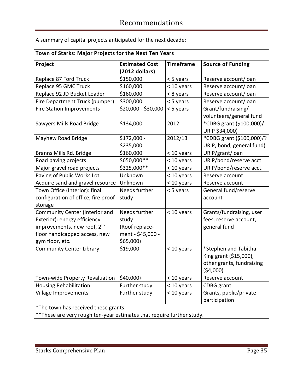A summary of capital projects anticipated for the next decade:

| Town of Starks: Major Projects for the Next Ten Years                  |                       |                  |                           |  |
|------------------------------------------------------------------------|-----------------------|------------------|---------------------------|--|
| Project                                                                | <b>Estimated Cost</b> | <b>Timeframe</b> | <b>Source of Funding</b>  |  |
|                                                                        | $(2012$ dollars)      |                  |                           |  |
| Replace 87 Ford Truck                                                  | \$150,000             | < 5 years        | Reserve account/loan      |  |
| Replace 95 GMC Truck                                                   | \$160,000             | < 10 years       | Reserve account/loan      |  |
| Replace 92 JD Bucket Loader                                            | \$160,000             | < 8 years        | Reserve account/loan      |  |
| Fire Department Truck (pumper)                                         | \$300,000             | < 5 years        | Reserve account/loan      |  |
| <b>Fire Station Improvements</b>                                       | \$20,000 - \$30,000   | < 5 years        | Grant/fundraising/        |  |
|                                                                        |                       |                  | volunteers/general fund   |  |
| Sawyers Mills Road Bridge                                              | \$134,000             | 2012             | *CDBG grant (\$100,000)/  |  |
|                                                                        |                       |                  | URIP \$34,000)            |  |
| Mayhew Road Bridge                                                     | $$172,000 -$          | 2012/13          | *CDBG grant (\$100,000)/? |  |
|                                                                        | \$235,000             |                  | URIP, bond, general fund) |  |
| Branns Mills Rd. Bridge                                                | \$160,000             | < 10 years       | URIP/grant/loan           |  |
| Road paving projects                                                   | \$650,000**           | < 10 years       | URIP/bond/reserve acct.   |  |
| Major gravel road projects                                             | \$325,000**           | < 10 years       | URIP/bond/reserve acct.   |  |
| Paving of Public Works Lot                                             | Unknown               | $<$ 10 years     | Reserve account           |  |
| Acquire sand and gravel resource                                       | Unknown               | < 10 years       | Reserve account           |  |
| Town Office (Interior): final                                          | Needs further         | < 5 years        | General fund/reserve      |  |
| configuration of office, fire proof                                    | study                 |                  | account                   |  |
| storage                                                                |                       |                  |                           |  |
| Community Center (Interior and                                         | Needs further         | < 10 years       | Grants/fundraising, user  |  |
| Exterior): energy efficiency                                           | study                 |                  | fees, reserve account,    |  |
| improvements, new roof, 2 <sup>nd</sup>                                | (Roof replace-        |                  | general fund              |  |
| floor handicapped access, new                                          | ment - \$45,000 -     |                  |                           |  |
| gym floor, etc.                                                        | \$65,000              |                  |                           |  |
| <b>Community Center Library</b>                                        | \$19,000              | < 10 years       | *Stephen and Tabitha      |  |
|                                                                        |                       |                  | King grant (\$15,000),    |  |
|                                                                        |                       |                  | other grants, fundraising |  |
|                                                                        |                       |                  | ( \$4,000)                |  |
| Town-wide Property Revaluation                                         | $$40,000+$            | < 10 years       | Reserve account           |  |
| <b>Housing Rehabilitation</b>                                          | Further study         | < 10 years       | <b>CDBG</b> grant         |  |
| Village Improvements                                                   | Further study         | < 10 years       | Grants, public/private    |  |
|                                                                        |                       |                  | participation             |  |
| *The town has received these grants.                                   |                       |                  |                           |  |
| ** These are very rough ten-year estimates that require further study. |                       |                  |                           |  |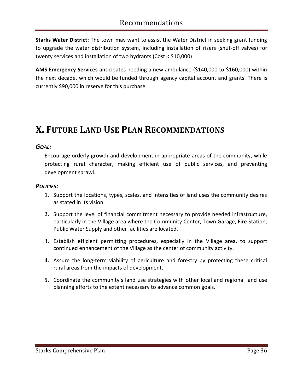**Starks Water District:** The town may want to assist the Water District in seeking grant funding to upgrade the water distribution system, including installation of risers (shut-off valves) for twenty services and installation of two hydrants (Cost < \$10,000)

**AMS Emergency Services** anticipates needing a new ambulance (\$140,000 to \$160,000) within the next decade, which would be funded through agency capital account and grants. There is currently \$90,000 in reserve for this purchase.

### <span id="page-35-0"></span>**X. FUTURE LAND USE PLAN RECOMMENDATIONS**

#### *GOAL:*

Encourage orderly growth and development in appropriate areas of the community, while protecting rural character, making efficient use of public services, and preventing development sprawl.

### *POLICIES:*

- **1.** Support the locations, types, scales, and intensities of land uses the community desires as stated in its vision.
- **2.** Support the level of financial commitment necessary to provide needed infrastructure, particularly in the Village area where the Community Center, Town Garage, Fire Station, Public Water Supply and other facilities are located.
- **3.** Establish efficient permitting procedures, especially in the Village area, to support continued enhancement of the Village as the center of community activity.
- **4.** Assure the long-term viability of agriculture and forestry by protecting these critical rural areas from the impacts of development.
- **5.** Coordinate the community's land use strategies with other local and regional land use planning efforts to the extent necessary to advance common goals.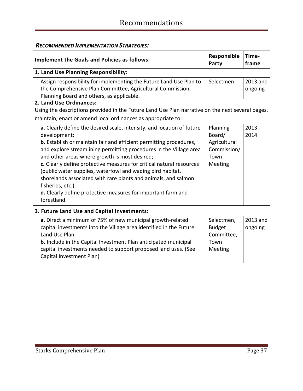### *RECOMMENDED IMPLEMENTATION STRATEGIES:*

| <b>Implement the Goals and Policies as follows:</b>                                                                                                                                                                                                                                                                                                                                                                                                                                                                                                                                             | Responsible<br>Party                                                 | Time-<br>frame      |  |  |
|-------------------------------------------------------------------------------------------------------------------------------------------------------------------------------------------------------------------------------------------------------------------------------------------------------------------------------------------------------------------------------------------------------------------------------------------------------------------------------------------------------------------------------------------------------------------------------------------------|----------------------------------------------------------------------|---------------------|--|--|
| 1. Land Use Planning Responsibility:                                                                                                                                                                                                                                                                                                                                                                                                                                                                                                                                                            |                                                                      |                     |  |  |
| Assign responsibility for implementing the Future Land Use Plan to<br>the Comprehensive Plan Committee, Agricultural Commission,<br>Planning Board and others, as applicable.                                                                                                                                                                                                                                                                                                                                                                                                                   | Selectmen                                                            | 2013 and<br>ongoing |  |  |
| 2. Land Use Ordinances:<br>Using the descriptions provided in the Future Land Use Plan narrative on the next several pages,<br>maintain, enact or amend local ordinances as appropriate to:                                                                                                                                                                                                                                                                                                                                                                                                     |                                                                      |                     |  |  |
| a. Clearly define the desired scale, intensity, and location of future<br>development;<br>b. Establish or maintain fair and efficient permitting procedures,<br>and explore streamlining permitting procedures in the Village area<br>and other areas where growth is most desired;<br>c. Clearly define protective measures for critical natural resources<br>(public water supplies, waterfowl and wading bird habitat,<br>shorelands associated with rare plants and animals, and salmon<br>fisheries, etc.).<br>d. Clearly define protective measures for important farm and<br>forestland. | Planning<br>Board/<br>Agricultural<br>Commission/<br>Town<br>Meeting | $2013 -$<br>2014    |  |  |
| 3. Future Land Use and Capital Investments:                                                                                                                                                                                                                                                                                                                                                                                                                                                                                                                                                     |                                                                      |                     |  |  |
| a. Direct a minimum of 75% of new municipal growth-related<br>capital investments into the Village area identified in the Future<br>Land Use Plan.<br>b. Include in the Capital Investment Plan anticipated municipal<br>capital investments needed to support proposed land uses. (See<br>Capital Investment Plan)                                                                                                                                                                                                                                                                             | Selectmen,<br><b>Budget</b><br>Committee,<br>Town<br>Meeting         | 2013 and<br>ongoing |  |  |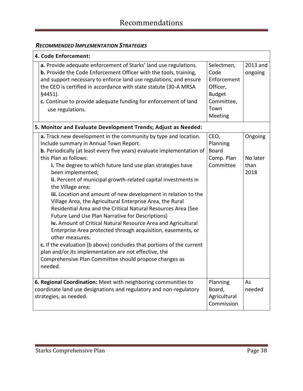### *RECOMMENDED IMPLEMENTATION STRATEGIES*

| 4. Code Enforcement:   |                                                                                 |               |          |  |
|------------------------|---------------------------------------------------------------------------------|---------------|----------|--|
|                        | a. Provide adequate enforcement of Starks' land use regulations.                | Selectmen,    | 2013 and |  |
|                        | b. Provide the Code Enforcement Officer with the tools, training,               | Code          | ongoing  |  |
|                        | and support necessary to enforce land use regulations, and ensure               | Enforcement   |          |  |
|                        | the CEO is certified in accordance with state statute (30-A MRSA                | Officer,      |          |  |
|                        | §4451).                                                                         | <b>Budget</b> |          |  |
|                        | c. Continue to provide adequate funding for enforcement of land                 | Committee,    |          |  |
|                        | use regulations.                                                                | Town          |          |  |
|                        |                                                                                 | Meeting       |          |  |
|                        | 5. Monitor and Evaluate Development Trends; Adjust as Needed:                   |               |          |  |
|                        | a. Track new development in the community by type and location.                 | CEO,          | Ongoing  |  |
|                        | Include summary in Annual Town Report.                                          | Planning      |          |  |
|                        | <b>b.</b> Periodically (at least every five years) evaluate implementation of   | <b>Board</b>  |          |  |
|                        | this Plan as follows:                                                           | Comp. Plan    | No later |  |
|                        | i. The degree to which future land use plan strategies have                     | Committee     | than     |  |
|                        | been implemented;                                                               |               | 2018     |  |
|                        | ii. Percent of municipal growth-related capital investments in                  |               |          |  |
|                        | the Village area;                                                               |               |          |  |
|                        | iii. Location and amount of new development in relation to the                  |               |          |  |
|                        | Village Area, the Agricultural Enterprise Area, the Rural                       |               |          |  |
|                        | Residential Area and the Critical Natural Resources Area (See                   |               |          |  |
|                        | Future Land Use Plan Narrative for Descriptions)                                |               |          |  |
|                        | iv. Amount of Critical Natural Resource Area and Agricultural                   |               |          |  |
|                        | Enterprise Area protected through acquisition, easements, or<br>other measures. |               |          |  |
|                        | c. If the evaluation (b above) concludes that portions of the current           |               |          |  |
|                        | plan and/or its implementation are not effective, the                           |               |          |  |
|                        | Comprehensive Plan Committee should propose changes as                          |               |          |  |
|                        | needed.                                                                         |               |          |  |
|                        |                                                                                 |               |          |  |
|                        | 6. Regional Coordination: Meet with neighboring communities to                  | Planning      | As       |  |
|                        | coordinate land use designations and regulatory and non-regulatory              |               | needed   |  |
| strategies, as needed. |                                                                                 | Agricultural  |          |  |
|                        |                                                                                 | Commission    |          |  |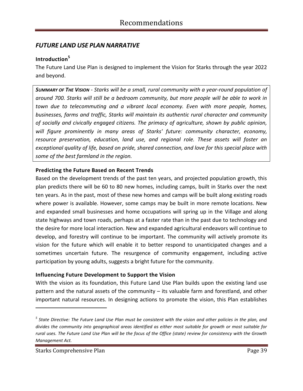### *FUTURE LAND USE PLAN NARRATIVE*

### **Introduction<sup>5</sup>**

The Future Land Use Plan is designed to implement the Vision for Starks through the year 2022 and beyond.

*SUMMARY OF THE VISION - Starks will be a small, rural community with a year-round population of around 700. Starks will still be a bedroom community, but more people will be able to work in town due to telecommuting and a vibrant local economy. Even with more people, homes, businesses, farms and traffic, Starks will maintain its authentic rural character and community of socially and civically engaged citizens. The primacy of agriculture, shown by public opinion, will figure prominently in many areas of Starks' future: community character, economy, resource preservation, education, land use, and regional role. These assets will foster an exceptional quality of life, based on pride, shared connection, and love for this special place with some of the best farmland in the region.*

#### **Predicting the Future Based on Recent Trends**

Based on the development trends of the past ten years, and projected population growth, this plan predicts there will be 60 to 80 new homes, including camps, built in Starks over the next ten years. As in the past, most of these new homes and camps will be built along existing roads where power is available. However, some camps may be built in more remote locations. New and expanded small businesses and home occupations will spring up in the Village and along state highways and town roads, perhaps at a faster rate than in the past due to technology and the desire for more local interaction. New and expanded agricultural endeavors will continue to develop, and forestry will continue to be important. The community will actively promote its vision for the future which will enable it to better respond to unanticipated changes and a sometimes uncertain future. The resurgence of community engagement, including active participation by young adults, suggests a bright future for the community.

#### **Influencing Future Development to Support the Vision**

With the vision as its foundation, this Future Land Use Plan builds upon the existing land use pattern and the natural assets of the community – its valuable farm and forestland, and other important natural resources. In designing actions to promote the vision, this Plan establishes

 $\overline{a}$ 

*<sup>5</sup> State Directive: The Future Land Use Plan must be consistent with the vision and other policies in the plan, and divides the community into geographical areas identified as either most suitable for growth or most suitable for rural uses. The Future Land Use Plan will be the focus of the Office (state) review for consistency with the Growth Management Act.*

Starks Comprehensive Plan **Page 39** and Page 39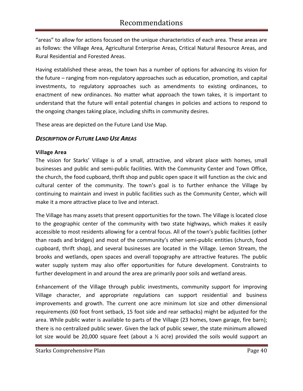"areas" to allow for actions focused on the unique characteristics of each area. These areas are as follows: the Village Area, Agricultural Enterprise Areas, Critical Natural Resource Areas, and Rural Residential and Forested Areas.

Having established these areas, the town has a number of options for advancing its vision for the future – ranging from non-regulatory approaches such as education, promotion, and capital investments, to regulatory approaches such as amendments to existing ordinances, to enactment of new ordinances. No matter what approach the town takes, it is important to understand that the future will entail potential changes in policies and actions to respond to the ongoing changes taking place, including shifts in community desires.

These areas are depicted on the Future Land Use Map.

### *DESCRIPTION OF FUTURE LAND USE AREAS*

#### **Village Area**

The vision for Starks' Village is of a small, attractive, and vibrant place with homes, small businesses and public and semi-public facilities. With the Community Center and Town Office, the church, the food cupboard, thrift shop and public open space it will function as the civic and cultural center of the community. The town's goal is to further enhance the Village by continuing to maintain and invest in public facilities such as the Community Center, which will make it a more attractive place to live and interact.

The Village has many assets that present opportunities for the town. The Village is located close to the geographic center of the community with two state highways, which makes it easily accessible to most residents allowing for a central focus. All of the town's public facilities (other than roads and bridges) and most of the community's other semi-public entities (church, food cupboard, thrift shop), and several businesses are located in the Village. Lemon Stream, the brooks and wetlands, open spaces and overall topography are attractive features. The public water supply system may also offer opportunities for future development. Constraints to further development in and around the area are primarily poor soils and wetland areas.

Enhancement of the Village through public investments, community support for improving Village character, and appropriate regulations can support residential and business improvements and growth. The current one acre minimum lot size and other dimensional requirements (60 foot front setback, 15 foot side and rear setbacks) might be adjusted for the area. While public water is available to parts of the Village (23 homes, town garage, fire barn); there is no centralized public sewer. Given the lack of public sewer, the state minimum allowed lot size would be 20,000 square feet (about a  $\frac{1}{2}$  acre) provided the soils would support an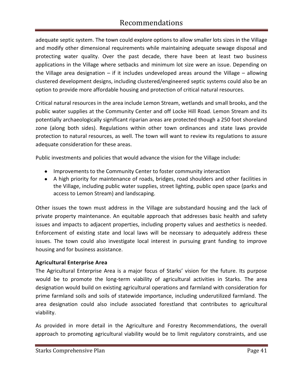adequate septic system. The town could explore options to allow smaller lots sizes in the Village and modify other dimensional requirements while maintaining adequate sewage disposal and protecting water quality. Over the past decade, there have been at least two business applications in the Village where setbacks and minimum lot size were an issue. Depending on the Village area designation – if it includes undeveloped areas around the Village – allowing clustered development designs, including clustered/engineered septic systems could also be an option to provide more affordable housing and protection of critical natural resources.

Critical natural resources in the area include Lemon Stream, wetlands and small brooks, and the public water supplies at the Community Center and off Locke Hill Road. Lemon Stream and its potentially archaeologically significant riparian areas are protected though a 250 foot shoreland zone (along both sides). Regulations within other town ordinances and state laws provide protection to natural resources, as well. The town will want to review its regulations to assure adequate consideration for these areas.

Public investments and policies that would advance the vision for the Village include:

- Improvements to the Community Center to foster community interaction
- A high priority for maintenance of roads, bridges, road shoulders and other facilities in the Village, including public water supplies, street lighting, public open space (parks and access to Lemon Stream) and landscaping.

Other issues the town must address in the Village are substandard housing and the lack of private property maintenance. An equitable approach that addresses basic health and safety issues and impacts to adjacent properties, including property values and aesthetics is needed. Enforcement of existing state and local laws will be necessary to adequately address these issues. The town could also investigate local interest in pursuing grant funding to improve housing and for business assistance.

#### **Agricultural Enterprise Area**

The Agricultural Enterprise Area is a major focus of Starks' vision for the future. Its purpose would be to promote the long-term viability of agricultural activities in Starks. The area designation would build on existing agricultural operations and farmland with consideration for prime farmland soils and soils of statewide importance, including underutilized farmland. The area designation could also include associated forestland that contributes to agricultural viability.

As provided in more detail in the Agriculture and Forestry Recommendations, the overall approach to promoting agricultural viability would be to limit regulatory constraints, and use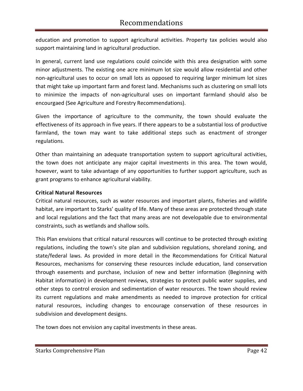education and promotion to support agricultural activities. Property tax policies would also support maintaining land in agricultural production.

In general, current land use regulations could coincide with this area designation with some minor adjustments. The existing one acre minimum lot size would allow residential and other non-agricultural uses to occur on small lots as opposed to requiring larger minimum lot sizes that might take up important farm and forest land. Mechanisms such as clustering on small lots to minimize the impacts of non-agricultural uses on important farmland should also be encourgaed (See Agriculture and Forestry Recommendations).

Given the importance of agriculture to the community, the town should evaluate the effectiveness of its approach in five years. If there appears to be a substantial loss of productive farmland, the town may want to take additional steps such as enactment of stronger regulations.

Other than maintaining an adequate transportation system to support agricultural activities, the town does not anticipate any major capital investments in this area. The town would, however, want to take advantage of any opportunities to further support agriculture, such as grant programs to enhance agricultural viability.

#### **Critical Natural Resources**

Critical natural resources, such as water resources and important plants, fisheries and wildlife habitat, are important to Starks' quality of life. Many of these areas are protected through state and local regulations and the fact that many areas are not developable due to environmental constraints, such as wetlands and shallow soils.

This Plan envisions that critical natural resources will continue to be protected through existing regulations, including the town's site plan and subdivision regulations, shoreland zoning, and state/federal laws. As provided in more detail in the Recommendations for Critical Natural Resources, mechanisms for conserving these resources include education, land conservation through easements and purchase, inclusion of new and better information (Beginning with Habitat information) in development reviews, strategies to protect public water supplies, and other steps to control erosion and sedimentation of water resources. The town should review its current regulations and make amendments as needed to improve protection for critical natural resources, including changes to encourage conservation of these resources in subdivision and development designs.

The town does not envision any capital investments in these areas.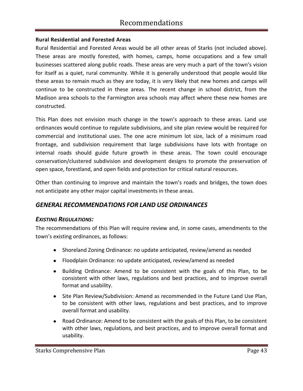#### **Rural Residential and Forested Areas**

Rural Residential and Forested Areas would be all other areas of Starks (not included above). These areas are mostly forested, with homes, camps, home occupations and a few small businesses scattered along public roads. These areas are very much a part of the town's vision for itself as a quiet, rural community. While it is generally understood that people would like these areas to remain much as they are today, it is very likely that new homes and camps will continue to be constructed in these areas. The recent change in school district, from the Madison area schools to the Farmington area schools may affect where these new homes are constructed.

This Plan does not envision much change in the town's approach to these areas. Land use ordinances would continue to regulate subdivisions, and site plan review would be required for commercial and institutional uses. The one acre minimum lot size, lack of a minimum road frontage, and subdivision requirement that large subdivisions have lots with frontage on internal roads should guide future growth in these areas. The town could encourage conservation/clustered subdivision and development designs to promote the preservation of open space, forestland, and open fields and protection for critical natural resources.

Other than continuing to improve and maintain the town's roads and bridges, the town does not anticipate any other major capital investments in these areas.

### *GENERAL RECOMMENDATIONS FOR LAND USE ORDINANCES*

### *EXISTING REGULATIONS:*

The recommendations of this Plan will require review and, in some cases, amendments to the town's existing ordinances, as follows:

- Shoreland Zoning Ordinance: no update anticipated, review/amend as needed
- Floodplain Ordinance: no update anticipated, review/amend as needed
- Building Ordinance: Amend to be consistent with the goals of this Plan, to be consistent with other laws, regulations and best practices, and to improve overall format and usability.
- Site Plan Review/Subdivision: Amend as recommended in the Future Land Use Plan, to be consistent with other laws, regulations and best practices, and to improve overall format and usability.
- Road Ordinance: Amend to be consistent with the goals of this Plan, to be consistent with other laws, regulations, and best practices, and to improve overall format and usability.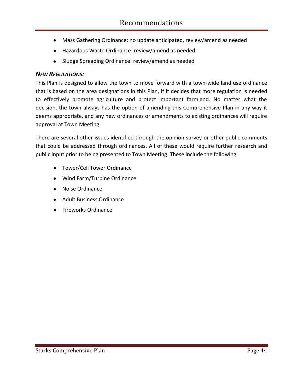- Mass Gathering Ordinance: no update anticipated, review/amend as needed
- Hazardous Waste Ordinance: review/amend as needed
- Sludge Spreading Ordinance: review/amend as needed

### *NEW REGULATIONS:*

This Plan is designed to allow the town to move forward with a town-wide land use ordinance that is based on the area designations in this Plan, if it decides that more regulation is needed to effectively promote agriculture and protect important farmland. No matter what the decision, the town always has the option of amending this Comprehensive Plan in any way it deems appropriate, and any new ordinances or amendments to existing ordinances will require approval at Town Meeting.

There are several other issues identified through the opinion survey or other public comments that could be addressed through ordinances. All of these would require further research and public input prior to being presented to Town Meeting. These include the following:

- Tower/Cell Tower Ordinance
- Wind Farm/Turbine Ordinance
- Noise Ordinance
- Adult Business Ordinance
- Fireworks Ordinance